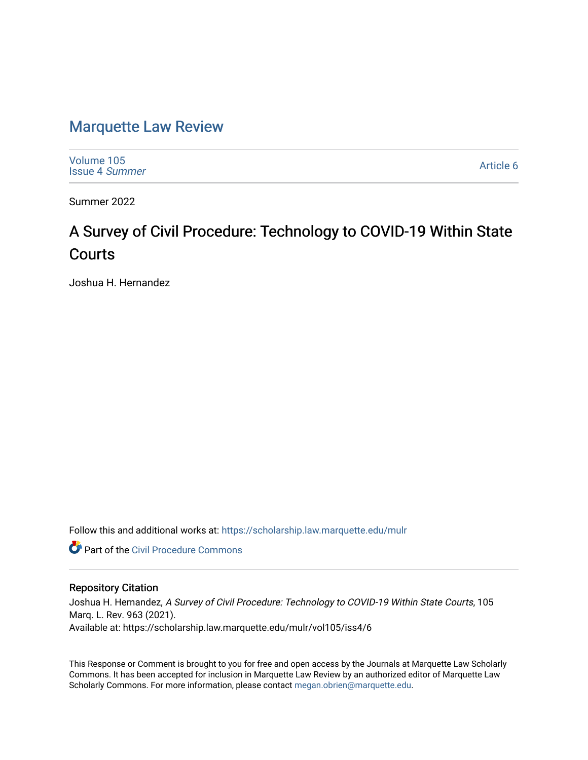# [Marquette Law Review](https://scholarship.law.marquette.edu/mulr)

[Volume 105](https://scholarship.law.marquette.edu/mulr/vol105) [Issue 4](https://scholarship.law.marquette.edu/mulr/vol105/iss4) Summer

[Article 6](https://scholarship.law.marquette.edu/mulr/vol105/iss4/6) 

Summer 2022

# A Survey of Civil Procedure: Technology to COVID-19 Within State Courts

Joshua H. Hernandez

Follow this and additional works at: [https://scholarship.law.marquette.edu/mulr](https://scholarship.law.marquette.edu/mulr?utm_source=scholarship.law.marquette.edu%2Fmulr%2Fvol105%2Fiss4%2F6&utm_medium=PDF&utm_campaign=PDFCoverPages) 

**C** Part of the Civil Procedure Commons

# Repository Citation

Joshua H. Hernandez, A Survey of Civil Procedure: Technology to COVID-19 Within State Courts, 105 Marq. L. Rev. 963 (2021). Available at: https://scholarship.law.marquette.edu/mulr/vol105/iss4/6

This Response or Comment is brought to you for free and open access by the Journals at Marquette Law Scholarly Commons. It has been accepted for inclusion in Marquette Law Review by an authorized editor of Marquette Law Scholarly Commons. For more information, please contact [megan.obrien@marquette.edu](mailto:megan.obrien@marquette.edu).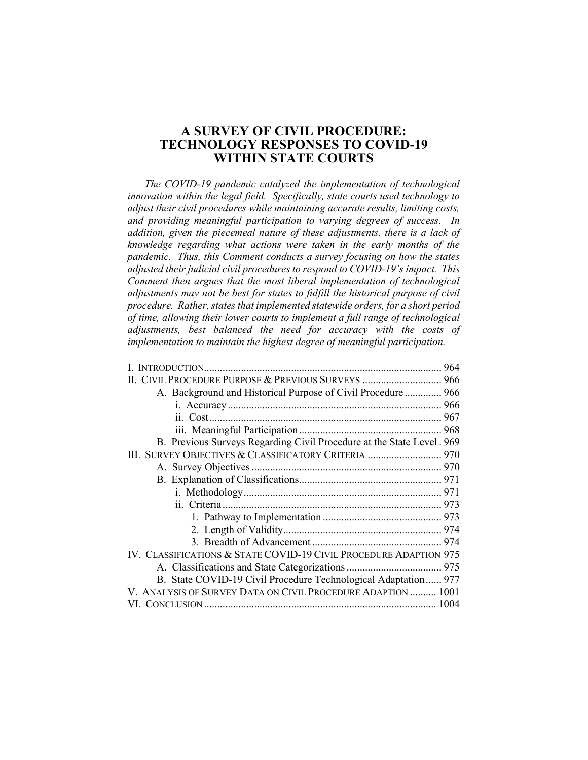# **A SURVEY OF CIVIL PROCEDURE: TECHNOLOGY RESPONSES TO COVID-19 WITHIN STATE COURTS**

*The COVID-19 pandemic catalyzed the implementation of technological innovation within the legal field. Specifically, state courts used technology to adjust their civil procedures while maintaining accurate results, limiting costs, and providing meaningful participation to varying degrees of success. In addition, given the piecemeal nature of these adjustments, there is a lack of knowledge regarding what actions were taken in the early months of the pandemic. Thus, this Comment conducts a survey focusing on how the states adjusted their judicial civil procedures to respond to COVID-19's impact. This Comment then argues that the most liberal implementation of technological adjustments may not be best for states to fulfill the historical purpose of civil procedure. Rather, states that implemented statewide orders, for a short period of time, allowing their lower courts to implement a full range of technological adjustments, best balanced the need for accuracy with the costs of implementation to maintain the highest degree of meaningful participation.*

| II. CIVIL PROCEDURE PURPOSE & PREVIOUS SURVEYS  966                   |
|-----------------------------------------------------------------------|
| A. Background and Historical Purpose of Civil Procedure  966          |
|                                                                       |
|                                                                       |
|                                                                       |
| B. Previous Surveys Regarding Civil Procedure at the State Level. 969 |
| III. SURVEY OBJECTIVES & CLASSIFICATORY CRITERIA  970                 |
|                                                                       |
|                                                                       |
|                                                                       |
|                                                                       |
|                                                                       |
|                                                                       |
|                                                                       |
| IV. CLASSIFICATIONS & STATE COVID-19 CIVIL PROCEDURE ADAPTION 975     |
|                                                                       |
| B. State COVID-19 Civil Procedure Technological Adaptation 977        |
| V. ANALYSIS OF SURVEY DATA ON CIVIL PROCEDURE ADAPTION  1001          |
|                                                                       |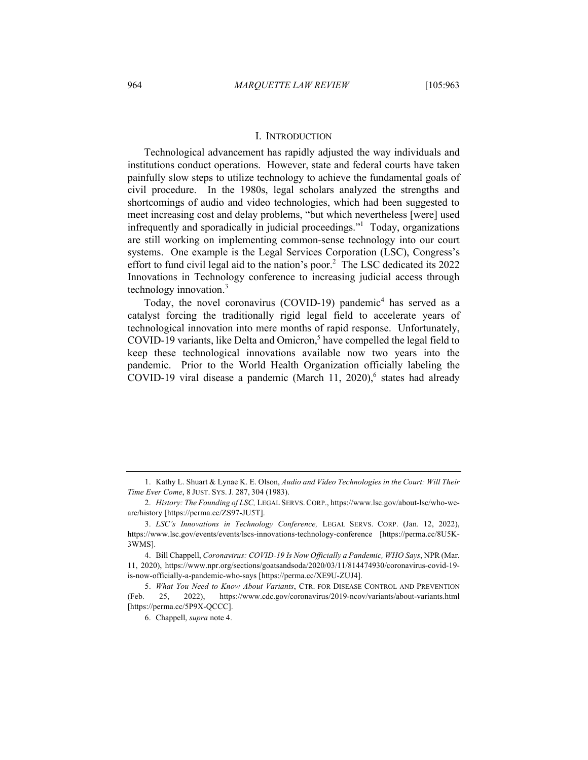#### I. INTRODUCTION

Technological advancement has rapidly adjusted the way individuals and institutions conduct operations. However, state and federal courts have taken painfully slow steps to utilize technology to achieve the fundamental goals of civil procedure. In the 1980s, legal scholars analyzed the strengths and shortcomings of audio and video technologies, which had been suggested to meet increasing cost and delay problems, "but which nevertheless [were] used infrequently and sporadically in judicial proceedings."<sup>1</sup> Today, organizations are still working on implementing common-sense technology into our court systems. One example is the Legal Services Corporation (LSC), Congress's effort to fund civil legal aid to the nation's poor.<sup>2</sup> The LSC dedicated its  $2022$ Innovations in Technology conference to increasing judicial access through technology innovation. 3

Today, the novel coronavirus (COVID-19) pandemic<sup>4</sup> has served as a catalyst forcing the traditionally rigid legal field to accelerate years of technological innovation into mere months of rapid response. Unfortunately, COVID-19 variants, like Delta and Omicron,<sup>5</sup> have compelled the legal field to keep these technological innovations available now two years into the pandemic. Prior to the World Health Organization officially labeling the COVID-19 viral disease a pandemic (March 11, 2020), $6$  states had already

<sup>1.</sup> Kathy L. Shuart & Lynae K. E. Olson, *Audio and Video Technologies in the Court: Will Their Time Ever Come*, 8 JUST. SYS. J. 287, 304 (1983).

<sup>2.</sup> *History: The Founding of LSC,* LEGAL SERVS.CORP., https://www.lsc.gov/about-lsc/who-weare/history [https://perma.cc/ZS97-JU5T].

<sup>3.</sup> *LSC's Innovations in Technology Conference,* LEGAL SERVS. CORP. (Jan. 12, 2022), https://www.lsc.gov/events/events/lscs-innovations-technology-conference [https://perma.cc/8U5K-3WMS].

<sup>4.</sup> Bill Chappell, *Coronavirus: COVID-19 Is Now Officially a Pandemic, WHO Says*, NPR (Mar. 11, 2020), https://www.npr.org/sections/goatsandsoda/2020/03/11/814474930/coronavirus-covid-19 is-now-officially-a-pandemic-who-says [https://perma.cc/XE9U-ZUJ4].

<sup>5.</sup> *What You Need to Know About Variants*, CTR. FOR DISEASE CONTROL AND PREVENTION (Feb. 25, 2022), https://www.cdc.gov/coronavirus/2019-ncov/variants/about-variants.html [https://perma.cc/5P9X-QCCC].

<sup>6.</sup> Chappell, *supra* note 4.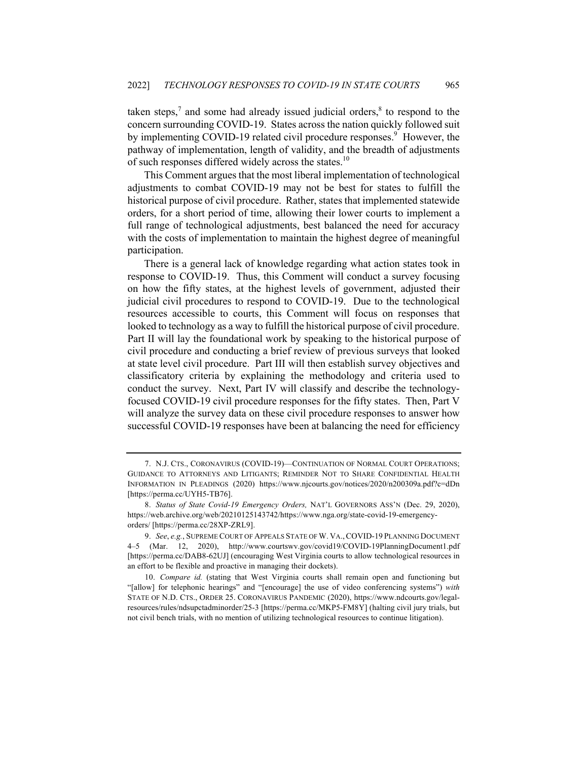taken steps,<sup>7</sup> and some had already issued judicial orders, $\frac{8}{3}$  to respond to the concern surrounding COVID-19. States across the nation quickly followed suit by implementing COVID-19 related civil procedure responses.<sup>9</sup> However, the pathway of implementation, length of validity, and the breadth of adjustments of such responses differed widely across the states.<sup>10</sup>

This Comment argues that the most liberal implementation of technological adjustments to combat COVID-19 may not be best for states to fulfill the historical purpose of civil procedure. Rather, states that implemented statewide orders, for a short period of time, allowing their lower courts to implement a full range of technological adjustments, best balanced the need for accuracy with the costs of implementation to maintain the highest degree of meaningful participation.

There is a general lack of knowledge regarding what action states took in response to COVID-19. Thus, this Comment will conduct a survey focusing on how the fifty states, at the highest levels of government, adjusted their judicial civil procedures to respond to COVID-19. Due to the technological resources accessible to courts, this Comment will focus on responses that looked to technology as a way to fulfill the historical purpose of civil procedure. Part II will lay the foundational work by speaking to the historical purpose of civil procedure and conducting a brief review of previous surveys that looked at state level civil procedure. Part III will then establish survey objectives and classificatory criteria by explaining the methodology and criteria used to conduct the survey. Next, Part IV will classify and describe the technologyfocused COVID-19 civil procedure responses for the fifty states. Then, Part V will analyze the survey data on these civil procedure responses to answer how successful COVID-19 responses have been at balancing the need for efficiency

<sup>7.</sup> N.J. CTS., CORONAVIRUS (COVID-19)—CONTINUATION OF NORMAL COURT OPERATIONS; GUIDANCE TO ATTORNEYS AND LITIGANTS; REMINDER NOT TO SHARE CONFIDENTIAL HEALTH INFORMATION IN PLEADINGS (2020) https://www.njcourts.gov/notices/2020/n200309a.pdf?c=dDn [https://perma.cc/UYH5-TB76].

<sup>8.</sup> *Status of State Covid-19 Emergency Orders,* NAT'L GOVERNORS ASS'N (Dec. 29, 2020), https://web.archive.org/web/20210125143742/https://www.nga.org/state-covid-19-emergencyorders/ [https://perma.cc/28XP-ZRL9].

<sup>9.</sup> *See*, *e.g.*, SUPREME COURT OF APPEALS STATE OF W. VA., COVID-19 PLANNING DOCUMENT 4–5 (Mar. 12, 2020), http://www.courtswv.gov/covid19/COVID-19PlanningDocument1.pdf [https://perma.cc/DAB8-62UJ] (encouraging West Virginia courts to allow technological resources in an effort to be flexible and proactive in managing their dockets).

<sup>10.</sup> *Compare id.* (stating that West Virginia courts shall remain open and functioning but "[allow] for telephonic hearings" and "[encourage] the use of video conferencing systems") *with*  STATE OF N.D. CTS., ORDER 25. CORONAVIRUS PANDEMIC (2020), https://www.ndcourts.gov/legalresources/rules/ndsupctadminorder/25-3 [https://perma.cc/MKP5-FM8Y] (halting civil jury trials, but not civil bench trials, with no mention of utilizing technological resources to continue litigation).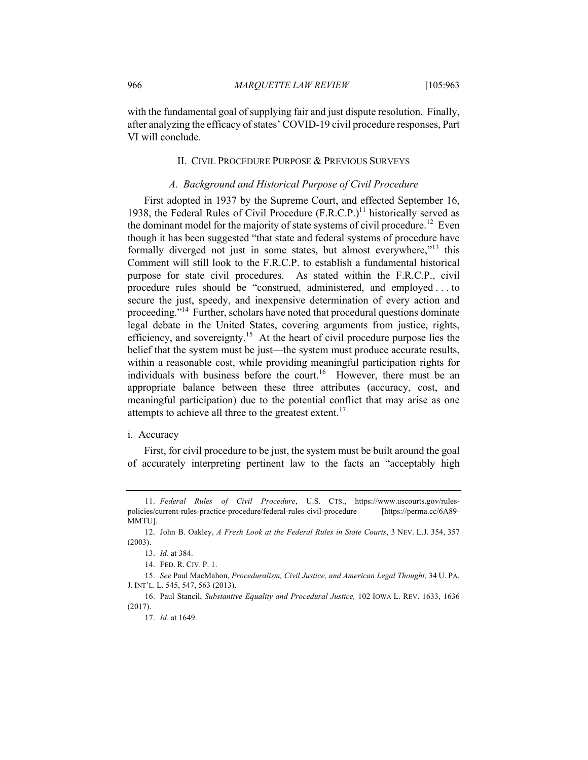with the fundamental goal of supplying fair and just dispute resolution. Finally, after analyzing the efficacy of states' COVID-19 civil procedure responses, Part VI will conclude.

# II. CIVIL PROCEDURE PURPOSE & PREVIOUS SURVEYS

# *A. Background and Historical Purpose of Civil Procedure*

First adopted in 1937 by the Supreme Court, and effected September 16, 1938, the Federal Rules of Civil Procedure  $(F.R.C.P.)<sup>11</sup>$  historically served as the dominant model for the majority of state systems of civil procedure.<sup>12</sup> Even though it has been suggested "that state and federal systems of procedure have formally diverged not just in some states, but almost everywhere,"<sup>13</sup> this Comment will still look to the F.R.C.P. to establish a fundamental historical purpose for state civil procedures. As stated within the F.R.C.P., civil procedure rules should be "construed, administered, and employed . . . to secure the just, speedy, and inexpensive determination of every action and proceeding."14 Further, scholars have noted that procedural questions dominate legal debate in the United States, covering arguments from justice, rights, efficiency, and sovereignty.<sup>15</sup> At the heart of civil procedure purpose lies the belief that the system must be just—the system must produce accurate results, within a reasonable cost, while providing meaningful participation rights for individuals with business before the court.<sup>16</sup> However, there must be an appropriate balance between these three attributes (accuracy, cost, and meaningful participation) due to the potential conflict that may arise as one attempts to achieve all three to the greatest extent.<sup>17</sup>

#### i. Accuracy

First, for civil procedure to be just, the system must be built around the goal of accurately interpreting pertinent law to the facts an "acceptably high

<sup>11.</sup> *Federal Rules of Civil Procedure*, U.S. CTS., https://www.uscourts.gov/rulespolicies/current-rules-practice-procedure/federal-rules-civil-procedure [https://perma.cc/6A89- MMTU].

<sup>12.</sup> John B. Oakley, *A Fresh Look at the Federal Rules in State Courts*, 3 NEV. L.J. 354, 357 (2003).

<sup>13.</sup> *Id.* at 384.

<sup>14.</sup> FED. R. CIV. P. 1.

<sup>15.</sup> *See* Paul MacMahon, *Proceduralism, Civil Justice, and American Legal Thought,* 34 U. PA. J. INT'L. L. 545, 547, 563 (2013).

<sup>16.</sup> Paul Stancil, *Substantive Equality and Procedural Justice,* 102 IOWA L. REV. 1633, 1636 (2017).

<sup>17.</sup> *Id.* at 1649.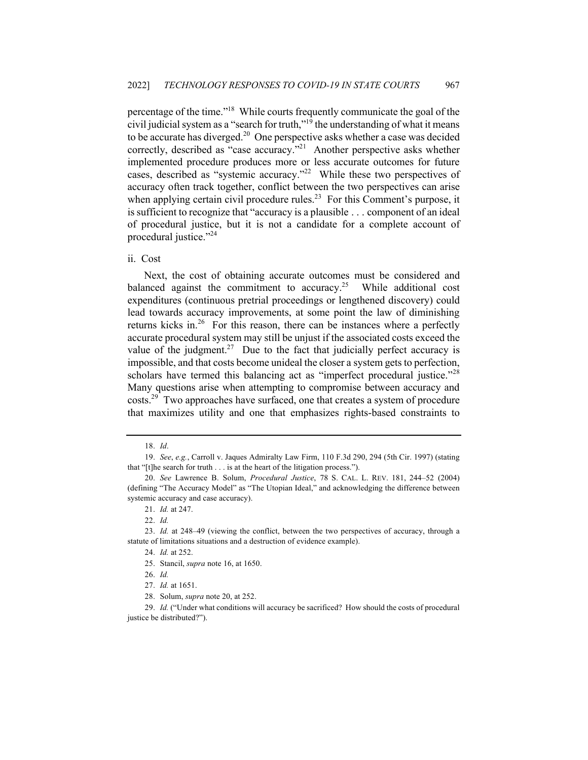percentage of the time."18 While courts frequently communicate the goal of the civil judicial system as a "search for truth,"<sup>19</sup> the understanding of what it means to be accurate has diverged.<sup>20</sup> One perspective asks whether a case was decided correctly, described as "case accuracy."<sup>21</sup> Another perspective asks whether implemented procedure produces more or less accurate outcomes for future cases, described as "systemic accuracy."<sup>22</sup> While these two perspectives of accuracy often track together, conflict between the two perspectives can arise when applying certain civil procedure rules.<sup>23</sup> For this Comment's purpose, it is sufficient to recognize that "accuracy is a plausible . . . component of an ideal of procedural justice, but it is not a candidate for a complete account of procedural justice."<sup>24</sup>

# ii. Cost

Next, the cost of obtaining accurate outcomes must be considered and balanced against the commitment to accuracy.<sup>25</sup> While additional cost expenditures (continuous pretrial proceedings or lengthened discovery) could lead towards accuracy improvements, at some point the law of diminishing returns kicks in.<sup>26</sup> For this reason, there can be instances where a perfectly accurate procedural system may still be unjust if the associated costs exceed the value of the judgment.<sup>27</sup> Due to the fact that judicially perfect accuracy is impossible, and that costs become unideal the closer a system gets to perfection, scholars have termed this balancing act as "imperfect procedural justice."<sup>28</sup> Many questions arise when attempting to compromise between accuracy and costs.<sup>29</sup> Two approaches have surfaced, one that creates a system of procedure that maximizes utility and one that emphasizes rights-based constraints to

<sup>18.</sup> *Id*.

<sup>19.</sup> *See*, *e.g.*, Carroll v. Jaques Admiralty Law Firm, 110 F.3d 290, 294 (5th Cir. 1997) (stating that "[t]he search for truth . . . is at the heart of the litigation process.").

<sup>20.</sup> *See* Lawrence B. Solum, *Procedural Justice*, 78 S. CAL. L. REV. 181, 244–52 (2004) (defining "The Accuracy Model" as "The Utopian Ideal," and acknowledging the difference between systemic accuracy and case accuracy).

<sup>21.</sup> *Id.* at 247.

<sup>22.</sup> *Id.*

<sup>23.</sup> *Id.* at 248–49 (viewing the conflict, between the two perspectives of accuracy, through a statute of limitations situations and a destruction of evidence example).

<sup>24.</sup> *Id.* at 252.

<sup>25.</sup> Stancil, *supra* note 16, at 1650.

<sup>26.</sup> *Id.*

<sup>27.</sup> *Id.* at 1651.

<sup>28.</sup> Solum, *supra* note 20, at 252.

<sup>29.</sup> *Id.* ("Under what conditions will accuracy be sacrificed? How should the costs of procedural justice be distributed?").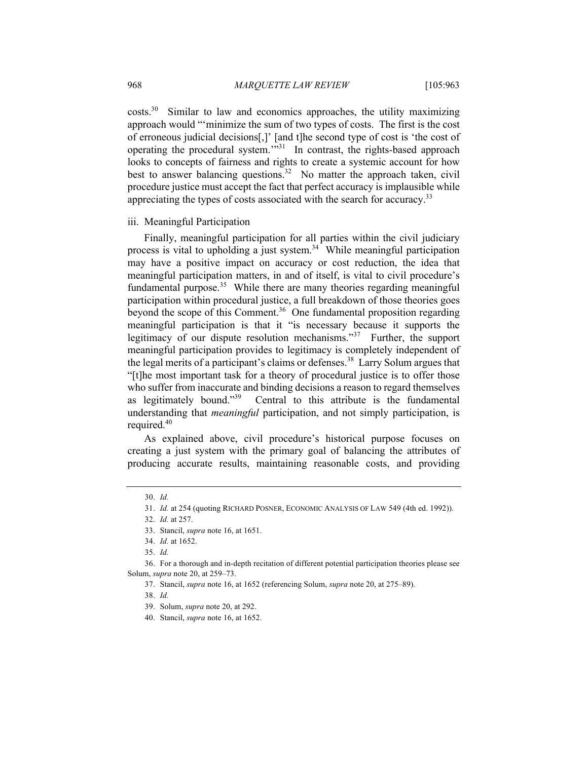$costs<sup>30</sup>$  Similar to law and economics approaches, the utility maximizing approach would "'minimize the sum of two types of costs. The first is the cost of erroneous judicial decisions[,]' [and t]he second type of cost is 'the cost of operating the procedural system.'"31 In contrast, the rights-based approach looks to concepts of fairness and rights to create a systemic account for how best to answer balancing questions.<sup>32</sup> No matter the approach taken, civil procedure justice must accept the fact that perfect accuracy is implausible while appreciating the types of costs associated with the search for accuracy.<sup>33</sup>

# iii. Meaningful Participation

Finally, meaningful participation for all parties within the civil judiciary process is vital to upholding a just system.<sup>34</sup> While meaningful participation may have a positive impact on accuracy or cost reduction, the idea that meaningful participation matters, in and of itself, is vital to civil procedure's fundamental purpose.<sup>35</sup> While there are many theories regarding meaningful participation within procedural justice, a full breakdown of those theories goes beyond the scope of this Comment.<sup>36</sup> One fundamental proposition regarding meaningful participation is that it "is necessary because it supports the legitimacy of our dispute resolution mechanisms."<sup>37</sup> Further, the support meaningful participation provides to legitimacy is completely independent of the legal merits of a participant's claims or defenses.<sup>38</sup> Larry Solum argues that "[t]he most important task for a theory of procedural justice is to offer those who suffer from inaccurate and binding decisions a reason to regard themselves as legitimately bound."<sup>39</sup> Central to this attribute is the fundamental Central to this attribute is the fundamental understanding that *meaningful* participation, and not simply participation, is required.<sup>40</sup>

As explained above, civil procedure's historical purpose focuses on creating a just system with the primary goal of balancing the attributes of producing accurate results, maintaining reasonable costs, and providing

<sup>30.</sup> *Id.*

<sup>31.</sup> *Id.* at 254 (quoting RICHARD POSNER, ECONOMIC ANALYSIS OF LAW 549 (4th ed. 1992)).

<sup>32.</sup> *Id.* at 257.

<sup>33.</sup> Stancil, *supra* note 16, at 1651.

<sup>34.</sup> *Id.* at 1652.

<sup>35.</sup> *Id.*

<sup>36.</sup> For a thorough and in-depth recitation of different potential participation theories please see Solum, *supra* note 20, at 259–73.

<sup>37.</sup> Stancil, *supra* note 16, at 1652 (referencing Solum, *supra* note 20, at 275–89).

<sup>38.</sup> *Id.*

<sup>39.</sup> Solum, *supra* note 20, at 292.

<sup>40.</sup> Stancil, *supra* note 16, at 1652.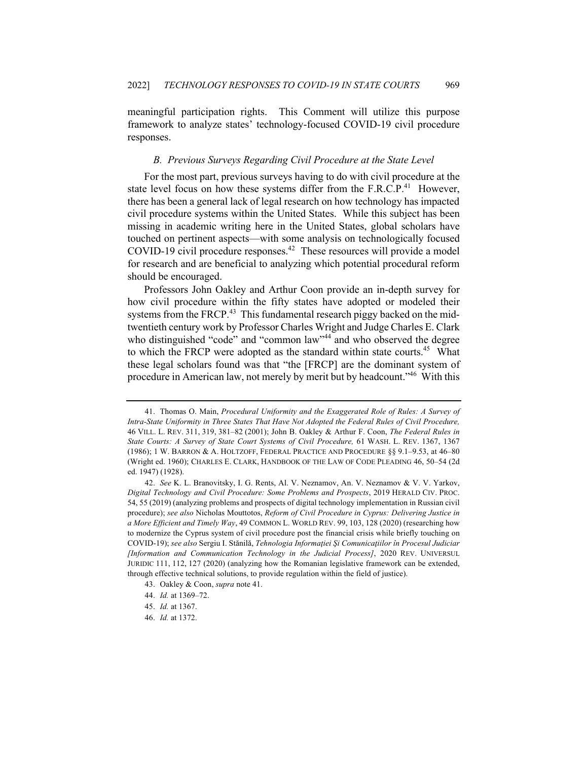meaningful participation rights. This Comment will utilize this purpose framework to analyze states' technology-focused COVID-19 civil procedure responses.

# *B. Previous Surveys Regarding Civil Procedure at the State Level*

For the most part, previous surveys having to do with civil procedure at the state level focus on how these systems differ from the  $F.R.C.P.<sup>41</sup>$  However, there has been a general lack of legal research on how technology has impacted civil procedure systems within the United States. While this subject has been missing in academic writing here in the United States, global scholars have touched on pertinent aspects—with some analysis on technologically focused COVID-19 civil procedure responses.<sup>42</sup> These resources will provide a model for research and are beneficial to analyzing which potential procedural reform should be encouraged.

Professors John Oakley and Arthur Coon provide an in-depth survey for how civil procedure within the fifty states have adopted or modeled their systems from the FRCP. $^{43}$  This fundamental research piggy backed on the midtwentieth century work by Professor Charles Wright and Judge Charles E. Clark who distinguished "code" and "common law"<sup>44</sup> and who observed the degree to which the FRCP were adopted as the standard within state courts.<sup>45</sup> What these legal scholars found was that "the [FRCP] are the dominant system of procedure in American law, not merely by merit but by headcount."<sup>46</sup> With this

<sup>41.</sup> Thomas O. Main, *Procedural Uniformity and the Exaggerated Role of Rules: A Survey of Intra-State Uniformity in Three States That Have Not Adopted the Federal Rules of Civil Procedure,* 46 VILL. L. REV. 311, 319, 381–82 (2001); John B. Oakley & Arthur F. Coon, *The Federal Rules in State Courts: A Survey of State Court Systems of Civil Procedure,* 61 WASH. L. REV. 1367, 1367 (1986); 1 W. BARRON & A. HOLTZOFF, FEDERAL PRACTICE AND PROCEDURE §§ 9.1–9.53, at 46–80 (Wright ed. 1960); CHARLES E. CLARK, HANDBOOK OF THE LAW OF CODE PLEADING 46, 50–54 (2d ed. 1947) (1928).

<sup>42.</sup> *See* K. L. Branovitsky, I. G. Rents, Al. V. Neznamov, An. V. Neznamov & V. V. Yarkov, *Digital Technology and Civil Procedure: Some Problems and Prospects*, 2019 HERALD CIV. PROC. 54, 55 (2019) (analyzing problems and prospects of digital technology implementation in Russian civil procedure); *see also* Nicholas Mouttotos, *Reform of Civil Procedure in Cyprus: Delivering Justice in a More Efficient and Timely Way*, 49 COMMON L. WORLD REV. 99, 103, 128 (2020) (researching how to modernize the Cyprus system of civil procedure post the financial crisis while briefly touching on COVID-19); *see also* Sergiu I. Stănilă, *Tehnologia Informaţiei Şi Comunicaţiilor în Procesul Judiciar [Information and Communication Technology in the Judicial Process]*, 2020 REV. UNIVERSUL JURIDIC 111, 112, 127 (2020) (analyzing how the Romanian legislative framework can be extended, through effective technical solutions, to provide regulation within the field of justice).

<sup>43.</sup> Oakley & Coon, *supra* note 41.

<sup>44.</sup> *Id.* at 1369–72.

<sup>45.</sup> *Id.* at 1367.

<sup>46.</sup> *Id.* at 1372.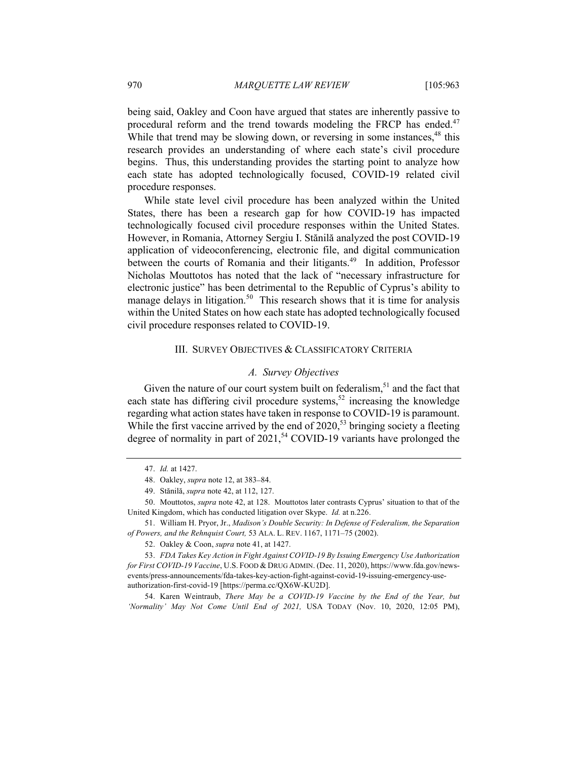being said, Oakley and Coon have argued that states are inherently passive to procedural reform and the trend towards modeling the FRCP has ended.<sup>47</sup> While that trend may be slowing down, or reversing in some instances,<sup>48</sup> this research provides an understanding of where each state's civil procedure begins. Thus, this understanding provides the starting point to analyze how each state has adopted technologically focused, COVID-19 related civil procedure responses.

While state level civil procedure has been analyzed within the United States, there has been a research gap for how COVID-19 has impacted technologically focused civil procedure responses within the United States. However, in Romania, Attorney Sergiu I. Stănilă analyzed the post COVID-19 application of videoconferencing, electronic file, and digital communication between the courts of Romania and their litigants.<sup>49</sup> In addition, Professor Nicholas Mouttotos has noted that the lack of "necessary infrastructure for electronic justice" has been detrimental to the Republic of Cyprus's ability to manage delays in litigation.<sup>50</sup> This research shows that it is time for analysis within the United States on how each state has adopted technologically focused civil procedure responses related to COVID-19.

#### III. SURVEY OBJECTIVES & CLASSIFICATORY CRITERIA

#### *A. Survey Objectives*

Given the nature of our court system built on federalism, $51$  and the fact that each state has differing civil procedure systems,<sup>52</sup> increasing the knowledge regarding what action states have taken in response to COVID-19 is paramount. While the first vaccine arrived by the end of  $2020$ ,<sup>53</sup> bringing society a fleeting degree of normality in part of  $2021$ ,<sup>54</sup> COVID-19 variants have prolonged the

52. Oakley & Coon, *supra* note 41, at 1427.

53. *FDA Takes Key Action in Fight Against COVID-19 By Issuing Emergency Use Authorization for First COVID-19 Vaccine*, U.S. FOOD & DRUG ADMIN. (Dec. 11, 2020), https://www.fda.gov/newsevents/press-announcements/fda-takes-key-action-fight-against-covid-19-issuing-emergency-useauthorization-first-covid-19 [https://perma.cc/QX6W-KU2D].

54. Karen Weintraub, *There May be a COVID-19 Vaccine by the End of the Year, but 'Normality' May Not Come Until End of 2021,* USA TODAY (Nov. 10, 2020, 12:05 PM),

<sup>47.</sup> *Id.* at 1427.

<sup>48.</sup> Oakley, *supra* note 12, at 383–84.

<sup>49.</sup> Stănilă, *supra* note 42, at 112, 127.

<sup>50.</sup> Mouttotos, *supra* note 42, at 128. Mouttotos later contrasts Cyprus' situation to that of the United Kingdom, which has conducted litigation over Skype. *Id.* at n.226.

<sup>51.</sup> William H. Pryor, Jr., *Madison's Double Security: In Defense of Federalism, the Separation of Powers, and the Rehnquist Court,* 53 ALA. L. REV. 1167, 1171–75 (2002).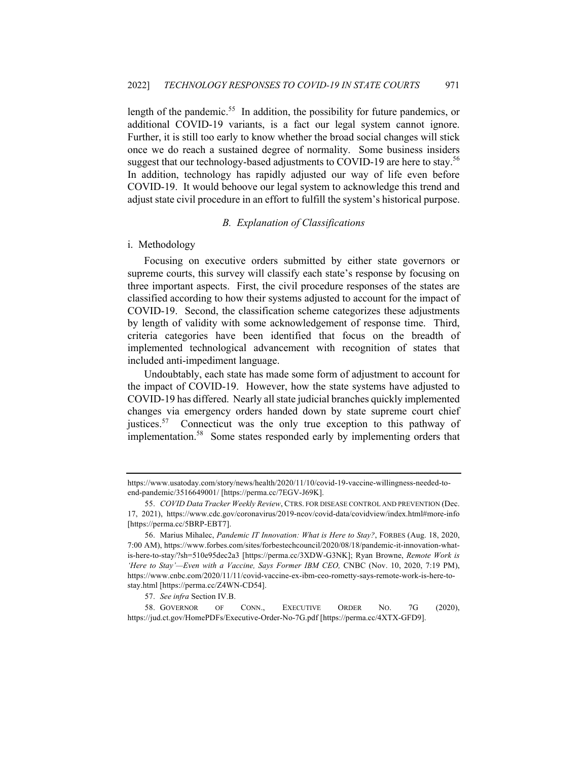length of the pandemic.<sup>55</sup> In addition, the possibility for future pandemics, or additional COVID-19 variants, is a fact our legal system cannot ignore. Further, it is still too early to know whether the broad social changes will stick once we do reach a sustained degree of normality. Some business insiders suggest that our technology-based adjustments to COVID-19 are here to stay.<sup>56</sup> In addition, technology has rapidly adjusted our way of life even before COVID-19. It would behoove our legal system to acknowledge this trend and adjust state civil procedure in an effort to fulfill the system's historical purpose.

### *B. Explanation of Classifications*

# i. Methodology

Focusing on executive orders submitted by either state governors or supreme courts, this survey will classify each state's response by focusing on three important aspects. First, the civil procedure responses of the states are classified according to how their systems adjusted to account for the impact of COVID-19. Second, the classification scheme categorizes these adjustments by length of validity with some acknowledgement of response time. Third, criteria categories have been identified that focus on the breadth of implemented technological advancement with recognition of states that included anti-impediment language.

Undoubtably, each state has made some form of adjustment to account for the impact of COVID-19. However, how the state systems have adjusted to COVID-19 has differed. Nearly all state judicial branches quickly implemented changes via emergency orders handed down by state supreme court chief justices.<sup>57</sup> Connecticut was the only true exception to this pathway of implementation.<sup>58</sup> Some states responded early by implementing orders that

58. GOVERNOR OF CONN., EXECUTIVE ORDER NO. 7G (2020), https://jud.ct.gov/HomePDFs/Executive-Order-No-7G.pdf [https://perma.cc/4XTX-GFD9].

https://www.usatoday.com/story/news/health/2020/11/10/covid-19-vaccine-willingness-needed-toend-pandemic/3516649001/ [https://perma.cc/7EGV-J69K].

<sup>55.</sup> *COVID Data Tracker Weekly Review*, CTRS. FOR DISEASE CONTROL AND PREVENTION (Dec. 17, 2021), https://www.cdc.gov/coronavirus/2019-ncov/covid-data/covidview/index.html#more-info [https://perma.cc/5BRP-EBT7].

<sup>56.</sup> Marius Mihalec, *Pandemic IT Innovation: What is Here to Stay?*, FORBES (Aug. 18, 2020, 7:00 AM), https://www.forbes.com/sites/forbestechcouncil/2020/08/18/pandemic-it-innovation-whatis-here-to-stay/?sh=510e95dec2a3 [https://perma.cc/3XDW-G3NK]; Ryan Browne, *Remote Work is 'Here to Stay'—Even with a Vaccine, Says Former IBM CEO,* CNBC (Nov. 10, 2020, 7:19 PM), https://www.cnbc.com/2020/11/11/covid-vaccine-ex-ibm-ceo-rometty-says-remote-work-is-here-tostay.html [https://perma.cc/Z4WN-CD54].

<sup>57.</sup> *See infra* Section IV.B.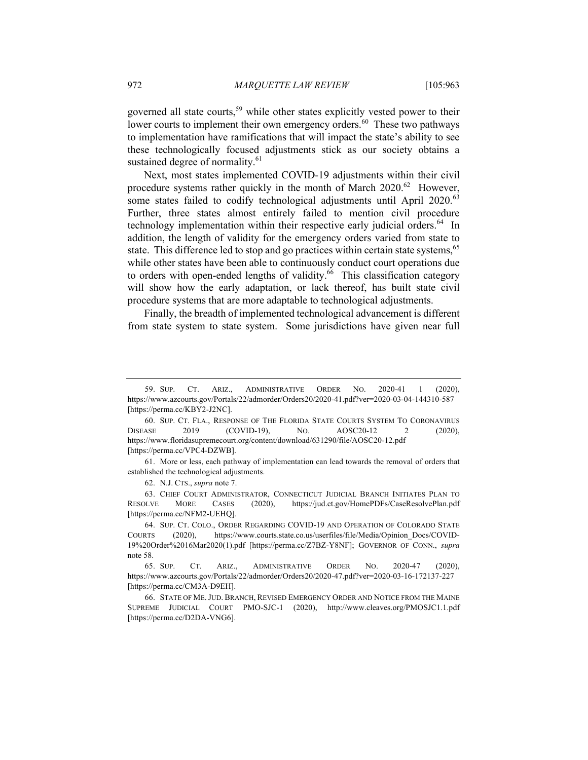governed all state courts,<sup>59</sup> while other states explicitly vested power to their lower courts to implement their own emergency orders.<sup>60</sup> These two pathways to implementation have ramifications that will impact the state's ability to see these technologically focused adjustments stick as our society obtains a sustained degree of normality.<sup>61</sup>

Next, most states implemented COVID-19 adjustments within their civil procedure systems rather quickly in the month of March  $2020$ .<sup>62</sup> However, some states failed to codify technological adjustments until April 2020.<sup>63</sup> Further, three states almost entirely failed to mention civil procedure technology implementation within their respective early judicial orders.<sup>64</sup> In addition, the length of validity for the emergency orders varied from state to state. This difference led to stop and go practices within certain state systems,<sup>65</sup> while other states have been able to continuously conduct court operations due to orders with open-ended lengths of validity.<sup>66</sup> This classification category will show how the early adaptation, or lack thereof, has built state civil procedure systems that are more adaptable to technological adjustments.

Finally, the breadth of implemented technological advancement is different from state system to state system. Some jurisdictions have given near full

62. N.J. CTS., *supra* note 7.

63. CHIEF COURT ADMINISTRATOR, CONNECTICUT JUDICIAL BRANCH INITIATES PLAN TO RESOLVE MORE CASES (2020), https://jud.ct.gov/HomePDFs/CaseResolvePlan.pdf [https://perma.cc/NFM2-UEHQ].

<sup>59.</sup> SUP. CT. ARIZ., ADMINISTRATIVE ORDER NO. 2020-41 1 (2020), https://www.azcourts.gov/Portals/22/admorder/Orders20/2020-41.pdf?ver=2020-03-04-144310-587 [https://perma.cc/KBY2-J2NC].

<sup>60.</sup> SUP. CT. FLA., RESPONSE OF THE FLORIDA STATE COURTS SYSTEM TO CORONAVIRUS DISEASE 2019 (COVID-19), No. AOSC20-12 2 (2020), https://www.floridasupremecourt.org/content/download/631290/file/AOSC20-12.pdf [https://perma.cc/VPC4-DZWB].

<sup>61.</sup> More or less, each pathway of implementation can lead towards the removal of orders that established the technological adjustments.

<sup>64.</sup> SUP. CT. COLO., ORDER REGARDING COVID-19 AND OPERATION OF COLORADO STATE COURTS (2020), https://www.courts.state.co.us/userfiles/file/Media/Opinion\_Docs/COVID-19%20Order%2016Mar2020(1).pdf [https://perma.cc/Z7BZ-Y8NF]; GOVERNOR OF CONN., *supra*  note 58.

<sup>65.</sup> SUP. CT. ARIZ., ADMINISTRATIVE ORDER NO. 2020-47 (2020), https://www.azcourts.gov/Portals/22/admorder/Orders20/2020-47.pdf?ver=2020-03-16-172137-227 [https://perma.cc/CM3A-D9EH].

<sup>66.</sup> STATE OF ME. JUD. BRANCH, REVISED EMERGENCY ORDER AND NOTICE FROM THE MAINE SUPREME JUDICIAL COURT PMO-SJC-1 (2020), http://www.cleaves.org/PMOSJC1.1.pdf [https://perma.cc/D2DA-VNG6].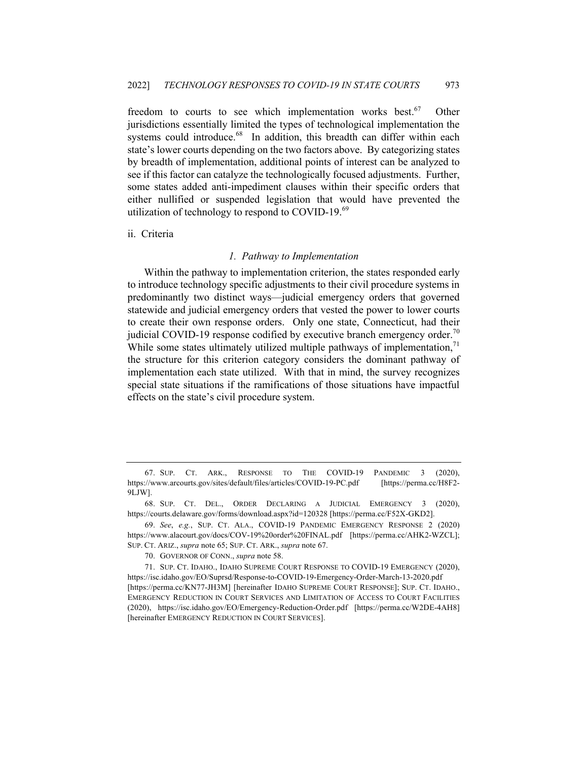freedom to courts to see which implementation works best.<sup>67</sup> Other jurisdictions essentially limited the types of technological implementation the systems could introduce.<sup>68</sup> In addition, this breadth can differ within each state's lower courts depending on the two factors above. By categorizing states by breadth of implementation, additional points of interest can be analyzed to see if this factor can catalyze the technologically focused adjustments. Further, some states added anti-impediment clauses within their specific orders that either nullified or suspended legislation that would have prevented the utilization of technology to respond to COVID-19. $^{69}$ 

# ii. Criteria

#### *1. Pathway to Implementation*

Within the pathway to implementation criterion, the states responded early to introduce technology specific adjustments to their civil procedure systems in predominantly two distinct ways—judicial emergency orders that governed statewide and judicial emergency orders that vested the power to lower courts to create their own response orders. Only one state, Connecticut, had their judicial COVID-19 response codified by executive branch emergency order.<sup>70</sup> While some states ultimately utilized multiple pathways of implementation,  $\frac{1}{1}$ the structure for this criterion category considers the dominant pathway of implementation each state utilized. With that in mind, the survey recognizes special state situations if the ramifications of those situations have impactful effects on the state's civil procedure system.

<sup>67.</sup> SUP. CT. ARK., RESPONSE TO THE COVID-19 PANDEMIC 3 (2020), https://www.arcourts.gov/sites/default/files/articles/COVID-19-PC.pdf [https://perma.cc/H8F2- 9LJW].

<sup>68.</sup> SUP. CT. DEL., ORDER DECLARING A JUDICIAL EMERGENCY 3 (2020), https://courts.delaware.gov/forms/download.aspx?id=120328 [https://perma.cc/F52X-GKD2].

<sup>69.</sup> *See*, *e.g.*, SUP. CT. ALA., COVID-19 PANDEMIC EMERGENCY RESPONSE 2 (2020) https://www.alacourt.gov/docs/COV-19%20order%20FINAL.pdf [https://perma.cc/AHK2-WZCL]; SUP. CT. ARIZ., *supra* note 65; SUP. CT. ARK., *supra* note 67.

<sup>70.</sup> GOVERNOR OF CONN., *supra* note 58.

<sup>71.</sup> SUP. CT. IDAHO., IDAHO SUPREME COURT RESPONSE TO COVID-19 EMERGENCY (2020), https://isc.idaho.gov/EO/Suprsd/Response-to-COVID-19-Emergency-Order-March-13-2020.pdf [https://perma.cc/KN77-JH3M] [hereinafter IDAHO SUPREME COURT RESPONSE]; SUP. CT. IDAHO., EMERGENCY REDUCTION IN COURT SERVICES AND LIMITATION OF ACCESS TO COURT FACILITIES (2020), https://isc.idaho.gov/EO/Emergency-Reduction-Order.pdf [https://perma.cc/W2DE-4AH8] [hereinafter EMERGENCY REDUCTION IN COURT SERVICES].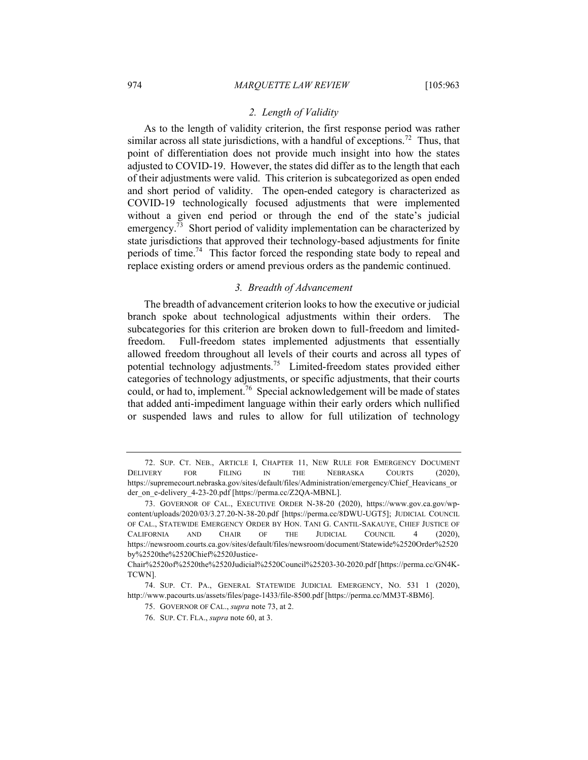# *2. Length of Validity*

As to the length of validity criterion, the first response period was rather similar across all state jurisdictions, with a handful of exceptions.<sup>72</sup> Thus, that point of differentiation does not provide much insight into how the states adjusted to COVID-19. However, the states did differ as to the length that each of their adjustments were valid. This criterion is subcategorized as open ended and short period of validity. The open-ended category is characterized as COVID-19 technologically focused adjustments that were implemented without a given end period or through the end of the state's judicial emergency.<sup>73</sup> Short period of validity implementation can be characterized by state jurisdictions that approved their technology-based adjustments for finite periods of time.<sup>74</sup> This factor forced the responding state body to repeal and replace existing orders or amend previous orders as the pandemic continued.

### *3. Breadth of Advancement*

The breadth of advancement criterion looks to how the executive or judicial branch spoke about technological adjustments within their orders. The subcategories for this criterion are broken down to full-freedom and limitedfreedom. Full-freedom states implemented adjustments that essentially allowed freedom throughout all levels of their courts and across all types of potential technology adjustments.<sup>75</sup> Limited-freedom states provided either categories of technology adjustments, or specific adjustments, that their courts could, or had to, implement.<sup>76</sup> Special acknowledgement will be made of states that added anti-impediment language within their early orders which nullified or suspended laws and rules to allow for full utilization of technology

<sup>72.</sup> SUP. CT. NEB., ARTICLE I, CHAPTER 11, NEW RULE FOR EMERGENCY DOCUMENT DELIVERY FOR FILING IN THE NEBRASKA COURTS (2020), https://supremecourt.nebraska.gov/sites/default/files/Administration/emergency/Chief\_Heavicans\_or der on e-delivery 4-23-20.pdf [https://perma.cc/Z2QA-MBNL].

<sup>73.</sup> GOVERNOR OF CAL., EXECUTIVE ORDER N-38-20 (2020), https://www.gov.ca.gov/wpcontent/uploads/2020/03/3.27.20-N-38-20.pdf [https://perma.cc/8DWU-UGT5]; JUDICIAL COUNCIL OF CAL., STATEWIDE EMERGENCY ORDER BY HON. TANI G. CANTIL-SAKAUYE, CHIEF JUSTICE OF CALIFORNIA AND CHAIR OF THE JUDICIAL COUNCIL 4 (2020), https://newsroom.courts.ca.gov/sites/default/files/newsroom/document/Statewide%2520Order%2520 by%2520the%2520Chief%2520Justice-

Chair%2520of%2520the%2520Judicial%2520Council%25203-30-2020.pdf [https://perma.cc/GN4K-TCWN].

<sup>74.</sup> SUP. CT. PA., GENERAL STATEWIDE JUDICIAL EMERGENCY, NO. 531 1 (2020), http://www.pacourts.us/assets/files/page-1433/file-8500.pdf [https://perma.cc/MM3T-8BM6].

<sup>75.</sup> GOVERNOR OF CAL., *supra* note 73, at 2.

<sup>76.</sup> SUP. CT. FLA., *supra* note 60, at 3.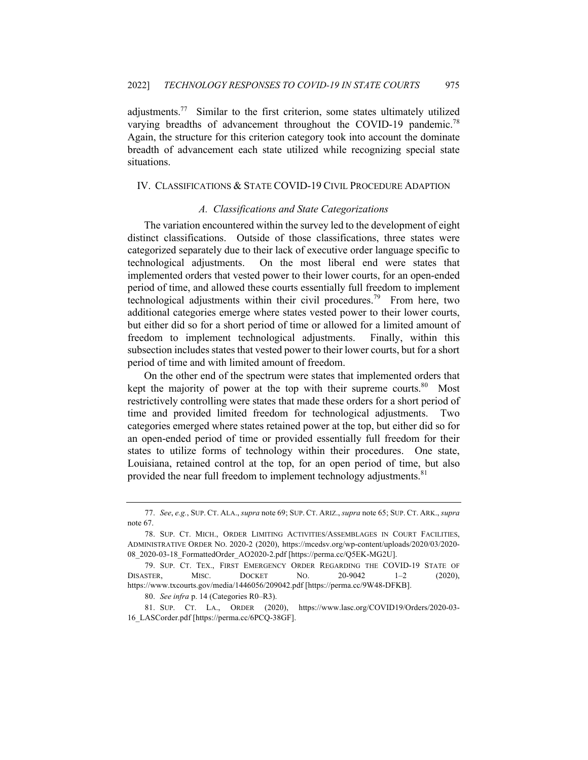adiustments.<sup>77</sup> Similar to the first criterion, some states ultimately utilized varying breadths of advancement throughout the COVID-19 pandemic.<sup>78</sup> Again, the structure for this criterion category took into account the dominate breadth of advancement each state utilized while recognizing special state situations.

# IV. CLASSIFICATIONS & STATE COVID-19 CIVIL PROCEDURE ADAPTION

# *A. Classifications and State Categorizations*

The variation encountered within the survey led to the development of eight distinct classifications. Outside of those classifications, three states were categorized separately due to their lack of executive order language specific to technological adjustments. On the most liberal end were states that implemented orders that vested power to their lower courts, for an open-ended period of time, and allowed these courts essentially full freedom to implement technological adjustments within their civil procedures.<sup>79</sup> From here, two additional categories emerge where states vested power to their lower courts, but either did so for a short period of time or allowed for a limited amount of freedom to implement technological adjustments. Finally, within this subsection includes states that vested power to their lower courts, but for a short period of time and with limited amount of freedom.

On the other end of the spectrum were states that implemented orders that kept the majority of power at the top with their supreme courts. <sup>80</sup> Most restrictively controlling were states that made these orders for a short period of time and provided limited freedom for technological adjustments. Two categories emerged where states retained power at the top, but either did so for an open-ended period of time or provided essentially full freedom for their states to utilize forms of technology within their procedures. One state, Louisiana, retained control at the top, for an open period of time, but also provided the near full freedom to implement technology adjustments.<sup>81</sup>

80. *See infra* p. 14 (Categories R0–R3).

81. SUP. CT. LA., ORDER (2020), https://www.lasc.org/COVID19/Orders/2020-03- 16\_LASCorder.pdf [https://perma.cc/6PCQ-38GF].

<sup>77.</sup> *See*, *e.g.*, SUP. CT. ALA., *supra* note 69; SUP. CT. ARIZ., *supra* note 65; SUP. CT. ARK., *supra* note 67.

<sup>78.</sup> SUP. CT. MICH., ORDER LIMITING ACTIVITIES/ASSEMBLAGES IN COURT FACILITIES, ADMINISTRATIVE ORDER NO. 2020-2 (2020), https://mcedsv.org/wp-content/uploads/2020/03/2020- 08\_2020-03-18\_FormattedOrder\_AO2020-2.pdf [https://perma.cc/Q5EK-MG2U].

<sup>79.</sup> SUP. CT. TEX., FIRST EMERGENCY ORDER REGARDING THE COVID-19 STATE OF DISASTER, MISC. DOCKET NO. 20-9042 1–2 (2020), https://www.txcourts.gov/media/1446056/209042.pdf [https://perma.cc/9W48-DFKB].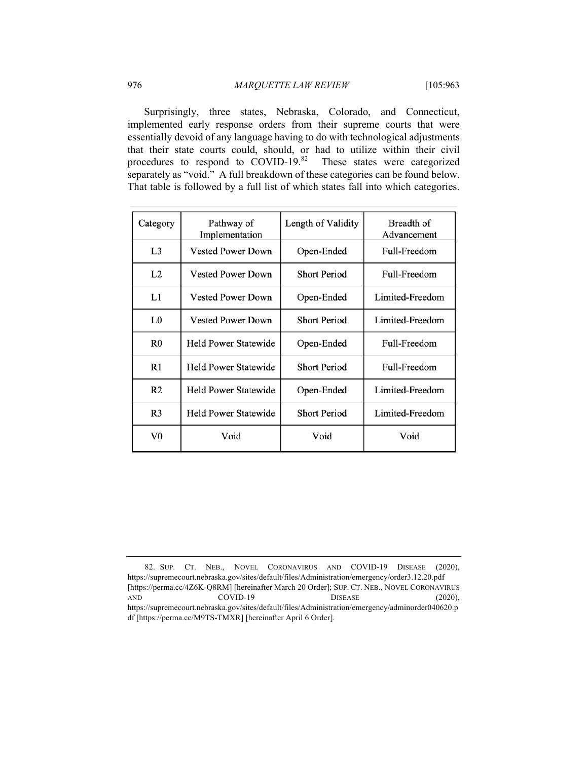Surprisingly, three states, Nebraska, Colorado, and Connecticut, implemented early response orders from their supreme courts that were essentially devoid of any language having to do with technological adjustments that their state courts could, should, or had to utilize within their civil procedures to respond to  $\text{COVID-19.}^{\text{82}}$  These states were categorized separately as "void." A full breakdown of these categories can be found below. That table is followed by a full list of which states fall into which categories.

| Category       | Pathway of<br>Implementation | Length of Validity  | Breadth of<br>Advancement |
|----------------|------------------------------|---------------------|---------------------------|
| L <sub>3</sub> | <b>Vested Power Down</b>     | Open-Ended          | Full-Freedom              |
| L2             | <b>Vested Power Down</b>     | <b>Short Period</b> | Full-Freedom              |
| L1             | <b>Vested Power Down</b>     | Open-Ended          | Limited-Freedom           |
| L <sub>0</sub> | <b>Vested Power Down</b>     | <b>Short Period</b> | Limited-Freedom           |
| R <sub>0</sub> | <b>Held Power Statewide</b>  | Open-Ended          | Full-Freedom              |
| R1             | Held Power Statewide         | <b>Short Period</b> | Full-Freedom              |
| R <sub>2</sub> | <b>Held Power Statewide</b>  | Open-Ended          | Limited-Freedom           |
| R <sub>3</sub> | <b>Held Power Statewide</b>  | <b>Short Period</b> | Limited-Freedom           |
| $_{\rm V0}$    | Void                         | Void                | Void                      |

<sup>82.</sup> SUP. CT. NEB., NOVEL CORONAVIRUS AND COVID-19 DISEASE (2020), https://supremecourt.nebraska.gov/sites/default/files/Administration/emergency/order3.12.20.pdf [https://perma.cc/4Z6K-Q8RM] [hereinafter March 20 Order]; SUP. CT. NEB., NOVEL CORONAVIRUS AND COVID-19 DISEASE (2020), https://supremecourt.nebraska.gov/sites/default/files/Administration/emergency/adminorder040620.p df [https://perma.cc/M9TS-TMXR] [hereinafter April 6 Order].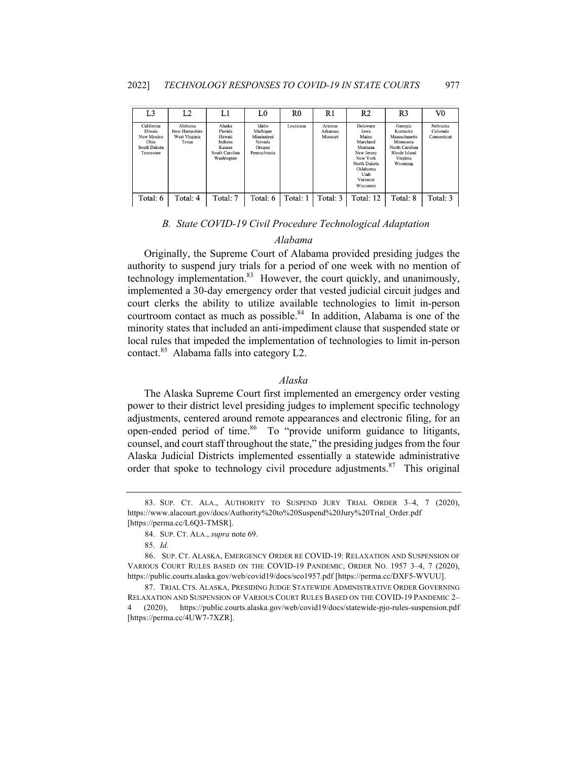| L <sub>3</sub>                                                            | L <sub>2</sub>                                     | L1                                                                               | L0                                                                   | R0        | R1                              | R2                                                                                                                                     | R <sub>3</sub>                                                                                             | V0                                  |
|---------------------------------------------------------------------------|----------------------------------------------------|----------------------------------------------------------------------------------|----------------------------------------------------------------------|-----------|---------------------------------|----------------------------------------------------------------------------------------------------------------------------------------|------------------------------------------------------------------------------------------------------------|-------------------------------------|
| California<br>Illinois<br>New Mexico<br>Ohio<br>South Dakota<br>Tennessee | Alabama<br>New Hampshire<br>West Virginia<br>Texas | Alaska<br>Florida<br>Hawaii<br>Indiana<br>Kansas<br>South Carolina<br>Washington | Idaho<br>Michigan<br>Mississippi<br>Nevada<br>Oregon<br>Pennsylvania | Louisiana | Arizona<br>Arkansas<br>Missouri | Delaware<br>Iowa<br>Maine<br>Maryland<br>Montana<br>New Jersey<br>New York<br>North Dakota<br>Oklahoma<br>Utah<br>Vermont<br>Wisconsin | Georgia<br>Kentucky<br>Massachusetts<br>Minnesota<br>North Carolina<br>Rhode Island<br>Virginia<br>Wyoming | Nebraska<br>Colorado<br>Connecticut |
| Total: 6                                                                  | Total: 4                                           | Total: 7                                                                         | Total: 6                                                             | Total: 1  | Total: 3                        | Total: 12                                                                                                                              | Total: 8                                                                                                   | Total: 3                            |

# *B. State COVID-19 Civil Procedure Technological Adaptation*

# *Alabama*

Originally, the Supreme Court of Alabama provided presiding judges the authority to suspend jury trials for a period of one week with no mention of technology implementation. $83$  However, the court quickly, and unanimously, implemented a 30-day emergency order that vested judicial circuit judges and court clerks the ability to utilize available technologies to limit in-person courtroom contact as much as possible.<sup>84</sup> In addition, Alabama is one of the minority states that included an anti-impediment clause that suspended state or local rules that impeded the implementation of technologies to limit in-person contact.<sup>85</sup> Alabama falls into category L2.

# *Alaska*

The Alaska Supreme Court first implemented an emergency order vesting power to their district level presiding judges to implement specific technology adjustments, centered around remote appearances and electronic filing, for an open-ended period of time.<sup>86</sup> To "provide uniform guidance to litigants, counsel, and court staff throughout the state," the presiding judges from the four Alaska Judicial Districts implemented essentially a statewide administrative order that spoke to technology civil procedure adjustments.<sup>87</sup> This original

<sup>83.</sup> SUP. CT. ALA., AUTHORITY TO SUSPEND JURY TRIAL ORDER 3–4, 7 (2020), https://www.alacourt.gov/docs/Authority%20to%20Suspend%20Jury%20Trial\_Order.pdf [https://perma.cc/L6Q3-TMSR].

<sup>84.</sup> SUP. CT. ALA., *supra* note 69.

<sup>85.</sup> *Id.*

<sup>86.</sup> SUP. CT. ALASKA, EMERGENCY ORDER RE COVID-19: RELAXATION AND SUSPENSION OF VARIOUS COURT RULES BASED ON THE COVID-19 PANDEMIC, ORDER NO. 1957 3–4, 7 (2020), https://public.courts.alaska.gov/web/covid19/docs/sco1957.pdf [https://perma.cc/DXF5-WVUU].

<sup>87.</sup> TRIAL CTS. ALASKA, PRESIDING JUDGE STATEWIDE ADMINISTRATIVE ORDER GOVERNING RELAXATION AND SUSPENSION OF VARIOUS COURT RULES BASED ON THE COVID-19 PANDEMIC 2– 4 (2020), https://public.courts.alaska.gov/web/covid19/docs/statewide-pjo-rules-suspension.pdf [https://perma.cc/4UW7-7XZR].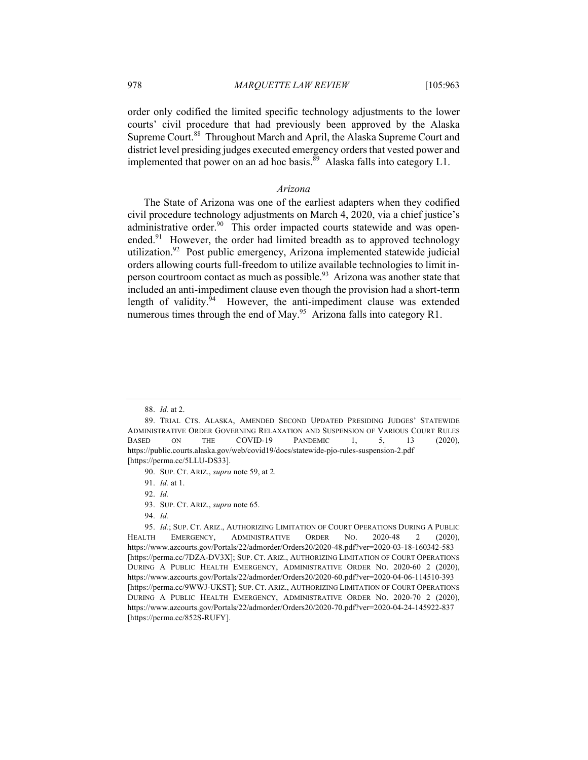order only codified the limited specific technology adjustments to the lower courts' civil procedure that had previously been approved by the Alaska Supreme Court.<sup>88</sup> Throughout March and April, the Alaska Supreme Court and district level presiding judges executed emergency orders that vested power and implemented that power on an ad hoc basis.<sup>89</sup> Alaska falls into category L1.

# *Arizona*

The State of Arizona was one of the earliest adapters when they codified civil procedure technology adjustments on March 4, 2020, via a chief justice's administrative order.<sup>90</sup> This order impacted courts statewide and was openended. $91$  However, the order had limited breadth as to approved technology utilization.<sup>92</sup> Post public emergency, Arizona implemented statewide judicial orders allowing courts full-freedom to utilize available technologies to limit inperson courtroom contact as much as possible.<sup>93</sup> Arizona was another state that included an anti-impediment clause even though the provision had a short-term length of validity.<sup>94</sup> However, the anti-impediment clause was extended numerous times through the end of May.<sup>95</sup> Arizona falls into category R1.

92. *Id.*

94. *Id.*

<sup>88.</sup> *Id.* at 2.

<sup>89.</sup> TRIAL CTS. ALASKA, AMENDED SECOND UPDATED PRESIDING JUDGES' STATEWIDE ADMINISTRATIVE ORDER GOVERNING RELAXATION AND SUSPENSION OF VARIOUS COURT RULES BASED ON THE COVID-19 PANDEMIC 1, 5, 13 (2020), https://public.courts.alaska.gov/web/covid19/docs/statewide-pjo-rules-suspension-2.pdf [https://perma.cc/5LLU-DS33].

<sup>90.</sup> SUP. CT. ARIZ., *supra* note 59, at 2.

<sup>91.</sup> *Id.* at 1.

<sup>93.</sup> SUP. CT. ARIZ., *supra* note 65.

<sup>95.</sup> *Id.*; SUP. CT. ARIZ., AUTHORIZING LIMITATION OF COURT OPERATIONS DURING A PUBLIC HEALTH EMERGENCY, ADMINISTRATIVE ORDER NO. 2020-48 2 (2020), https://www.azcourts.gov/Portals/22/admorder/Orders20/2020-48.pdf?ver=2020-03-18-160342-583 [https://perma.cc/7DZA-DV3X]; SUP. CT. ARIZ., AUTHORIZING LIMITATION OF COURT OPERATIONS DURING A PUBLIC HEALTH EMERGENCY, ADMINISTRATIVE ORDER NO. 2020-60 2 (2020), https://www.azcourts.gov/Portals/22/admorder/Orders20/2020-60.pdf?ver=2020-04-06-114510-393 [https://perma.cc/9WWJ-UKST]; SUP. CT. ARIZ., AUTHORIZING LIMITATION OF COURT OPERATIONS DURING A PUBLIC HEALTH EMERGENCY, ADMINISTRATIVE ORDER NO. 2020-70 2 (2020), https://www.azcourts.gov/Portals/22/admorder/Orders20/2020-70.pdf?ver=2020-04-24-145922-837 [https://perma.cc/852S-RUFY].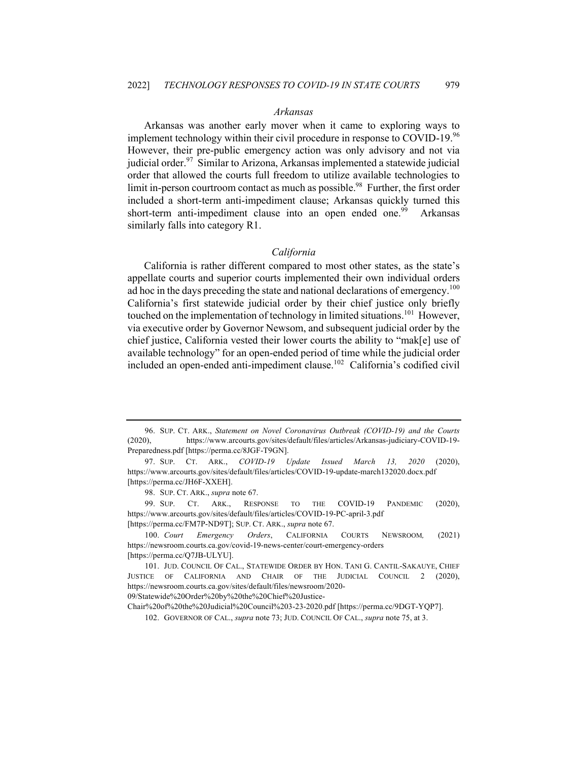# *Arkansas*

Arkansas was another early mover when it came to exploring ways to implement technology within their civil procedure in response to COVID-19. $96$ However, their pre-public emergency action was only advisory and not via judicial order.<sup>97</sup> Similar to Arizona, Arkansas implemented a statewide judicial order that allowed the courts full freedom to utilize available technologies to limit in-person courtroom contact as much as possible.<sup>98</sup> Further, the first order included a short-term anti-impediment clause; Arkansas quickly turned this short-term anti-impediment clause into an open ended one.<sup>99</sup> Arkansas similarly falls into category R1.

#### *California*

California is rather different compared to most other states, as the state's appellate courts and superior courts implemented their own individual orders ad hoc in the days preceding the state and national declarations of emergency.<sup>100</sup> California's first statewide judicial order by their chief justice only briefly touched on the implementation of technology in limited situations.<sup>101</sup> However, via executive order by Governor Newsom, and subsequent judicial order by the chief justice, California vested their lower courts the ability to "mak[e] use of available technology" for an open-ended period of time while the judicial order included an open-ended anti-impediment clause.<sup>102</sup> California's codified civil

Chair%20of%20the%20Judicial%20Council%203-23-2020.pdf [https://perma.cc/9DGT-YQP7].

<sup>96.</sup> SUP. CT. ARK., *Statement on Novel Coronavirus Outbreak (COVID-19) and the Courts* (2020), https://www.arcourts.gov/sites/default/files/articles/Arkansas-judiciary-COVID-19- Preparedness.pdf [https://perma.cc/8JGF-T9GN].

<sup>97.</sup> SUP. CT. ARK., *COVID-19 Update Issued March 13, 2020* (2020), https://www.arcourts.gov/sites/default/files/articles/COVID-19-update-march132020.docx.pdf [https://perma.cc/JH6F-XXEH].

<sup>98.</sup> SUP. CT. ARK., *supra* note 67.

<sup>99.</sup> SUP. CT. ARK., RESPONSE TO THE COVID-19 PANDEMIC (2020), https://www.arcourts.gov/sites/default/files/articles/COVID-19-PC-april-3.pdf [https://perma.cc/FM7P-ND9T]; SUP. CT. ARK., *supra* note 67.

<sup>100.</sup> *Court Emergency Orders*, CALIFORNIA COURTS NEWSROOM*,* (2021) https://newsroom.courts.ca.gov/covid-19-news-center/court-emergency-orders [https://perma.cc/Q7JB-ULYU].

<sup>101.</sup> JUD. COUNCIL OF CAL., STATEWIDE ORDER BY HON. TANI G. CANTIL-SAKAUYE, CHIEF JUSTICE OF CALIFORNIA AND CHAIR OF THE JUDICIAL COUNCIL 2 (2020), https://newsroom.courts.ca.gov/sites/default/files/newsroom/2020- 09/Statewide%20Order%20by%20the%20Chief%20Justice-

<sup>102.</sup> GOVERNOR OF CAL., *supra* note 73; JUD. COUNCIL OF CAL., *supra* note 75, at 3.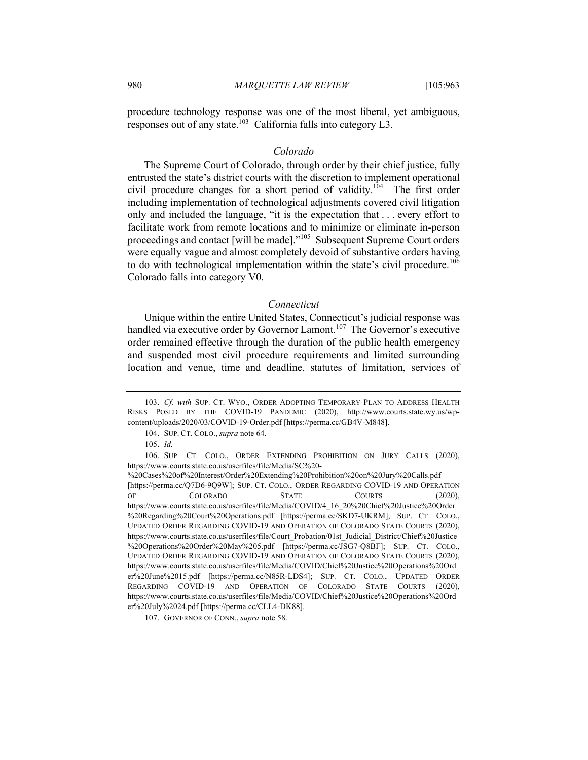procedure technology response was one of the most liberal, yet ambiguous, responses out of any state.<sup>103</sup> California falls into category L3.

#### *Colorado*

The Supreme Court of Colorado, through order by their chief justice, fully entrusted the state's district courts with the discretion to implement operational civil procedure changes for a short period of validity.<sup>104</sup> The first order including implementation of technological adjustments covered civil litigation only and included the language, "it is the expectation that . . . every effort to facilitate work from remote locations and to minimize or eliminate in-person proceedings and contact [will be made]."<sup>105</sup> Subsequent Supreme Court orders were equally vague and almost completely devoid of substantive orders having to do with technological implementation within the state's civil procedure.<sup>106</sup> Colorado falls into category V0.

#### *Connecticut*

Unique within the entire United States, Connecticut's judicial response was handled via executive order by Governor Lamont.<sup>107</sup> The Governor's executive order remained effective through the duration of the public health emergency and suspended most civil procedure requirements and limited surrounding location and venue, time and deadline, statutes of limitation, services of

<sup>103.</sup> *Cf. with* SUP. CT. WYO., ORDER ADOPTING TEMPORARY PLAN TO ADDRESS HEALTH RISKS POSED BY THE COVID-19 PANDEMIC (2020), http://www.courts.state.wy.us/wpcontent/uploads/2020/03/COVID-19-Order.pdf [https://perma.cc/GB4V-M848].

<sup>104.</sup> SUP. CT. COLO., *supra* note 64.

<sup>105.</sup> *Id.*

<sup>106.</sup> SUP. CT. COLO., ORDER EXTENDING PROHIBITION ON JURY CALLS (2020), https://www.courts.state.co.us/userfiles/file/Media/SC%20-

<sup>%20</sup>Cases%20of%20Interest/Order%20Extending%20Prohibition%20on%20Jury%20Calls.pdf [https://perma.cc/Q7D6-9Q9W]; SUP. CT. COLO., ORDER REGARDING COVID-19 AND OPERATION OF COLORADO STATE COURTS (2020), https://www.courts.state.co.us/userfiles/file/Media/COVID/4\_16\_20%20Chief%20Justice%20Order %20Regarding%20Court%20Operations.pdf [https://perma.cc/SKD7-UKRM]; SUP. CT. COLO., UPDATED ORDER REGARDING COVID-19 AND OPERATION OF COLORADO STATE COURTS (2020), https://www.courts.state.co.us/userfiles/file/Court\_Probation/01st\_Judicial\_District/Chief%20Justice %20Operations%20Order%20May%205.pdf [https://perma.cc/JSG7-Q8BF]; SUP. CT. COLO., UPDATED ORDER REGARDING COVID-19 AND OPERATION OF COLORADO STATE COURTS (2020), https://www.courts.state.co.us/userfiles/file/Media/COVID/Chief%20Justice%20Operations%20Ord er%20June%2015.pdf [https://perma.cc/N85R-LDS4]; SUP. CT. COLO., UPDATED ORDER REGARDING COVID-19 AND OPERATION OF COLORADO STATE COURTS (2020), https://www.courts.state.co.us/userfiles/file/Media/COVID/Chief%20Justice%20Operations%20Ord er%20July%2024.pdf [https://perma.cc/CLL4-DK88].

<sup>107.</sup> GOVERNOR OF CONN., *supra* note 58.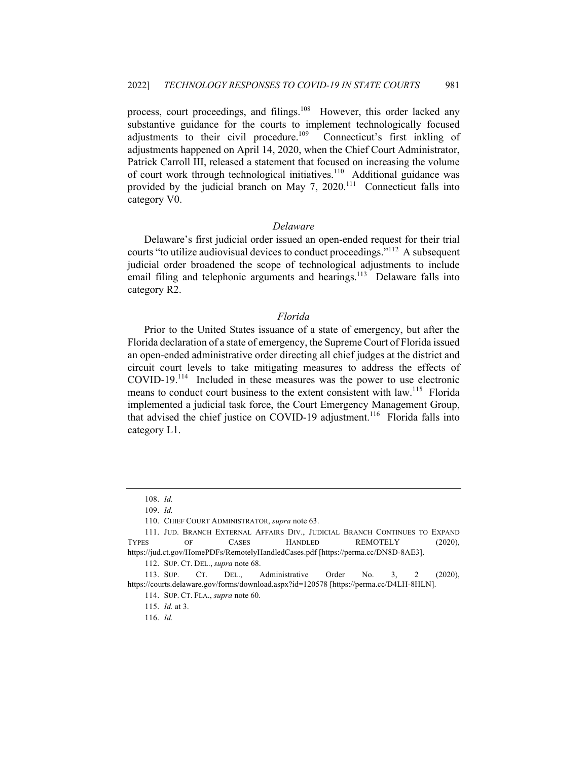process, court proceedings, and filings.<sup>108</sup> However, this order lacked any substantive guidance for the courts to implement technologically focused adjustments to their civil procedure.<sup>109</sup> Connecticut's first inkling of adjustments happened on April 14, 2020, when the Chief Court Administrator, Patrick Carroll III, released a statement that focused on increasing the volume of court work through technological initiatives.<sup>110</sup> Additional guidance was provided by the judicial branch on May 7,  $2020$ <sup>111</sup> Connecticut falls into category V0.

# *Delaware*

Delaware's first judicial order issued an open-ended request for their trial courts "to utilize audiovisual devices to conduct proceedings."<sup>112</sup> A subsequent judicial order broadened the scope of technological adjustments to include email filing and telephonic arguments and hearings.<sup>113</sup> Delaware falls into category R2.

# *Florida*

Prior to the United States issuance of a state of emergency, but after the Florida declaration of a state of emergency, the Supreme Court of Florida issued an open-ended administrative order directing all chief judges at the district and circuit court levels to take mitigating measures to address the effects of COVID-19.<sup>114</sup> Included in these measures was the power to use electronic means to conduct court business to the extent consistent with law.<sup>115</sup> Florida implemented a judicial task force, the Court Emergency Management Group, that advised the chief justice on COVID-19 adjustment.<sup>116</sup> Florida falls into category L1.

112. SUP. CT. DEL., *supra* note 68.

<sup>108.</sup> *Id.*

<sup>109.</sup> *Id.*

<sup>110.</sup> CHIEF COURT ADMINISTRATOR, *supra* note 63.

<sup>111.</sup> JUD. BRANCH EXTERNAL AFFAIRS DIV., JUDICIAL BRANCH CONTINUES TO EXPAND TYPES OF CASES HANDLED REMOTELY (2020), https://jud.ct.gov/HomePDFs/RemotelyHandledCases.pdf [https://perma.cc/DN8D-8AE3].

<sup>113.</sup> SUP. CT. DEL., Administrative Order No. 3, 2 (2020), https://courts.delaware.gov/forms/download.aspx?id=120578 [https://perma.cc/D4LH-8HLN].

<sup>114.</sup> SUP. CT. FLA., *supra* note 60.

<sup>115.</sup> *Id.* at 3.

<sup>116.</sup> *Id.*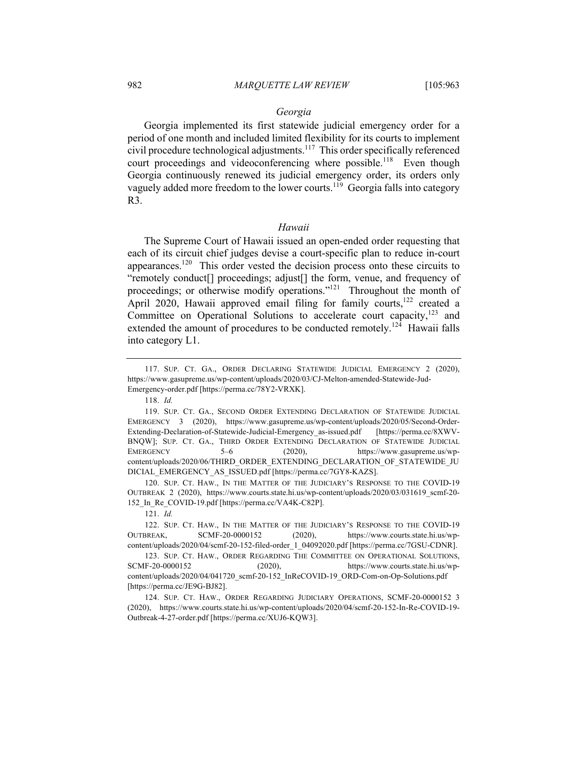# *Georgia*

Georgia implemented its first statewide judicial emergency order for a period of one month and included limited flexibility for its courts to implement civil procedure technological adjustments.<sup>117</sup> This order specifically referenced court proceedings and videoconferencing where possible.<sup>118</sup> Even though Georgia continuously renewed its judicial emergency order, its orders only vaguely added more freedom to the lower courts.<sup>119</sup> Georgia falls into category R3.

# *Hawaii*

The Supreme Court of Hawaii issued an open-ended order requesting that each of its circuit chief judges devise a court-specific plan to reduce in-court appearances.<sup>120</sup> This order vested the decision process onto these circuits to "remotely conduct[] proceedings; adjust[] the form, venue, and frequency of proceedings; or otherwise modify operations."<sup>121</sup> Throughout the month of April 2020, Hawaii approved email filing for family courts, $122$  created a Committee on Operational Solutions to accelerate court capacity, $123$  and extended the amount of procedures to be conducted remotely.<sup>124</sup> Hawaii falls into category L1.

120. SUP. CT. HAW., IN THE MATTER OF THE JUDICIARY'S RESPONSE TO THE COVID-19 OUTBREAK 2 (2020), https://www.courts.state.hi.us/wp-content/uploads/2020/03/031619\_scmf-20- 152\_In\_Re\_COVID-19.pdf [https://perma.cc/VA4K-C82P].

121. *Id.*

<sup>117.</sup> SUP. CT. GA., ORDER DECLARING STATEWIDE JUDICIAL EMERGENCY 2 (2020), https://www.gasupreme.us/wp-content/uploads/2020/03/CJ-Melton-amended-Statewide-Jud-Emergency-order.pdf [https://perma.cc/78Y2-VRXK].

<sup>118.</sup> *Id.*

<sup>119.</sup> SUP. CT. GA., SECOND ORDER EXTENDING DECLARATION OF STATEWIDE JUDICIAL EMERGENCY 3 (2020), https://www.gasupreme.us/wp-content/uploads/2020/05/Second-Order-Extending-Declaration-of-Statewide-Judicial-Emergency\_as-issued.pdf [https://perma.cc/8XWV-BNQW]; SUP. CT. GA., THIRD ORDER EXTENDING DECLARATION OF STATEWIDE JUDICIAL EMERGENCY 5–6 (2020), https://www.gasupreme.us/wpcontent/uploads/2020/06/THIRD\_ORDER\_EXTENDING\_DECLARATION\_OF\_STATEWIDE\_JU DICIAL\_EMERGENCY\_AS\_ISSUED.pdf [https://perma.cc/7GY8-KAZS].

<sup>122.</sup> SUP. CT. HAW., IN THE MATTER OF THE JUDICIARY'S RESPONSE TO THE COVID-19 OUTBREAK, SCMF-20-0000152 (2020), https://www.courts.state.hi.us/wpcontent/uploads/2020/04/scmf-20-152-filed-order\_1\_04092020.pdf [https://perma.cc/7GSU-CDNR].

<sup>123.</sup> SUP. CT. HAW., ORDER REGARDING THE COMMITTEE ON OPERATIONAL SOLUTIONS, SCMF-20-0000152 (2020), https://www.courts.state.hi.us/wpcontent/uploads/2020/04/041720\_scmf-20-152\_InReCOVID-19\_ORD-Com-on-Op-Solutions.pdf [https://perma.cc/JE9G-BJ82].

<sup>124.</sup> SUP. CT. HAW., ORDER REGARDING JUDICIARY OPERATIONS, SCMF-20-0000152 3 (2020), https://www.courts.state.hi.us/wp-content/uploads/2020/04/scmf-20-152-In-Re-COVID-19- Outbreak-4-27-order.pdf [https://perma.cc/XUJ6-KQW3].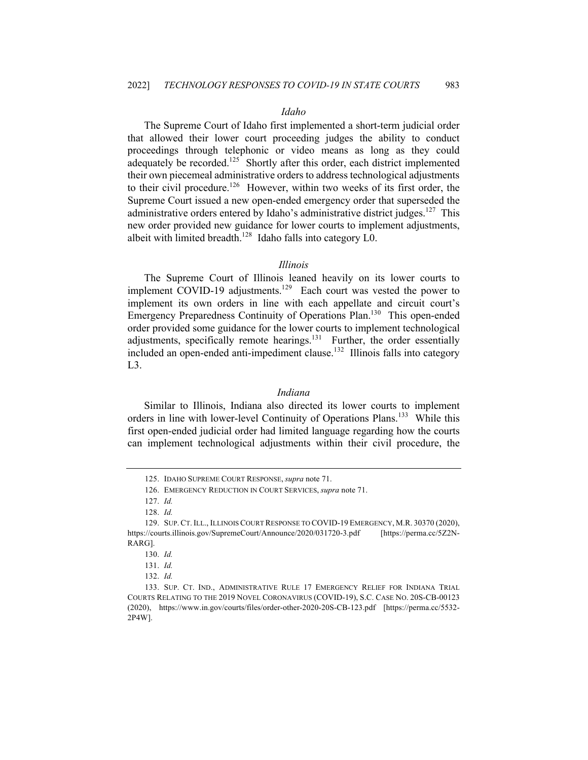# *Idaho*

The Supreme Court of Idaho first implemented a short-term judicial order that allowed their lower court proceeding judges the ability to conduct proceedings through telephonic or video means as long as they could adequately be recorded.<sup>125</sup> Shortly after this order, each district implemented their own piecemeal administrative orders to address technological adjustments to their civil procedure.<sup>126</sup> However, within two weeks of its first order, the Supreme Court issued a new open-ended emergency order that superseded the administrative orders entered by Idaho's administrative district judges.<sup>127</sup> This new order provided new guidance for lower courts to implement adjustments, albeit with limited breadth.<sup>128</sup> Idaho falls into category  $L0$ .

#### *Illinois*

The Supreme Court of Illinois leaned heavily on its lower courts to implement COVID-19 adjustments.<sup>129</sup> Each court was vested the power to implement its own orders in line with each appellate and circuit court's Emergency Preparedness Continuity of Operations Plan.<sup>130</sup> This open-ended order provided some guidance for the lower courts to implement technological adjustments, specifically remote hearings. $131$  Further, the order essentially included an open-ended anti-impediment clause.<sup>132</sup> Illinois falls into category L3.

#### *Indiana*

Similar to Illinois, Indiana also directed its lower courts to implement orders in line with lower-level Continuity of Operations Plans.<sup>133</sup> While this first open-ended judicial order had limited language regarding how the courts can implement technological adjustments within their civil procedure, the

<sup>125.</sup> IDAHO SUPREME COURT RESPONSE, *supra* note 71.

<sup>126.</sup> EMERGENCY REDUCTION IN COURT SERVICES, *supra* note 71.

<sup>127.</sup> *Id.*

<sup>128.</sup> *Id.*

<sup>129.</sup> SUP. CT. ILL., ILLINOIS COURT RESPONSE TO COVID-19 EMERGENCY, M.R. 30370 (2020), https://courts.illinois.gov/SupremeCourt/Announce/2020/031720-3.pdf [https://perma.cc/5Z2N-RARG].

<sup>130.</sup> *Id.*

<sup>131.</sup> *Id.*

<sup>132.</sup> *Id.*

<sup>133.</sup> SUP. CT. IND., ADMINISTRATIVE RULE 17 EMERGENCY RELIEF FOR INDIANA TRIAL COURTS RELATING TO THE 2019 NOVEL CORONAVIRUS (COVID-19), S.C. CASE NO. 20S-CB-00123 (2020), https://www.in.gov/courts/files/order-other-2020-20S-CB-123.pdf [https://perma.cc/5532- 2P4W].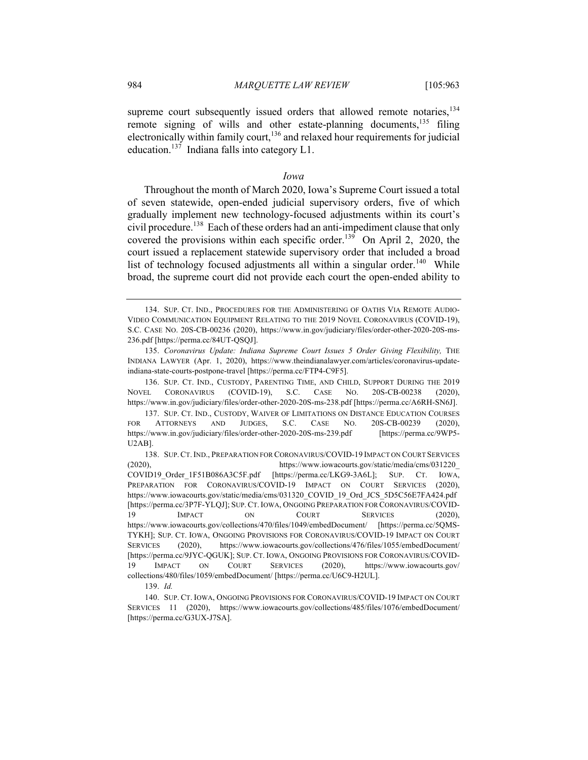supreme court subsequently issued orders that allowed remote notaries,  $134$ remote signing of wills and other estate-planning documents,  $135$  filing electronically within family court,<sup>136</sup> and relaxed hour requirements for judicial education.<sup>137</sup> Indiana falls into category  $L1$ .

#### *Iowa*

Throughout the month of March 2020, Iowa's Supreme Court issued a total of seven statewide, open-ended judicial supervisory orders, five of which gradually implement new technology-focused adjustments within its court's civil procedure. <sup>138</sup> Each of these orders had an anti-impediment clause that only covered the provisions within each specific order.<sup>139</sup> On April 2, 2020, the court issued a replacement statewide supervisory order that included a broad list of technology focused adjustments all within a singular order.<sup>140</sup> While broad, the supreme court did not provide each court the open-ended ability to

<sup>134.</sup> SUP. CT. IND., PROCEDURES FOR THE ADMINISTERING OF OATHS VIA REMOTE AUDIO-VIDEO COMMUNICATION EQUIPMENT RELATING TO THE 2019 NOVEL CORONAVIRUS (COVID-19), S.C. CASE NO. 20S-CB-00236 (2020), https://www.in.gov/judiciary/files/order-other-2020-20S-ms-236.pdf [https://perma.cc/84UT-QSQJ].

<sup>135.</sup> *Coronavirus Update: Indiana Supreme Court Issues 5 Order Giving Flexibility,* THE INDIANA LAWYER (Apr. 1, 2020), https://www.theindianalawyer.com/articles/coronavirus-updateindiana-state-courts-postpone-travel [https://perma.cc/FTP4-C9F5].

<sup>136.</sup> SUP. CT. IND., CUSTODY, PARENTING TIME, AND CHILD, SUPPORT DURING THE 2019 NOVEL CORONAVIRUS (COVID-19), S.C. CASE NO. 20S-CB-00238 (2020), https://www.in.gov/judiciary/files/order-other-2020-20S-ms-238.pdf [https://perma.cc/A6RH-SN6J].

<sup>137.</sup> SUP. CT. IND., CUSTODY, WAIVER OF LIMITATIONS ON DISTANCE EDUCATION COURSES FOR ATTORNEYS AND JUDGES, S.C. CASE NO. 20S-CB-00239 (2020), https://www.in.gov/judiciary/files/order-other-2020-20S-ms-239.pdf [https://perma.cc/9WP5- U2AB].

<sup>138.</sup> SUP.CT.IND., PREPARATION FOR CORONAVIRUS/COVID-19 IMPACT ON COURT SERVICES (2020), https://www.iowacourts.gov/static/media/cms/031220\_ COVID19 Order 1F51B086A3C5F.pdf [https://perma.cc/LKG9-3A6L]; SUP. CT. IOWA, PREPARATION FOR CORONAVIRUS/COVID-19 IMPACT ON COURT SERVICES (2020), https://www.iowacourts.gov/static/media/cms/031320\_COVID\_19\_Ord\_JCS\_5D5C56E7FA424.pdf [https://perma.cc/3P7F-YLQJ]; SUP.CT.IOWA, ONGOING PREPARATION FOR CORONAVIRUS/COVID-19 IMPACT ON COURT SERVICES (2020), https://www.iowacourts.gov/collections/470/files/1049/embedDocument/ [https://perma.cc/5QMS-TYKH]; SUP. CT. IOWA, ONGOING PROVISIONS FOR CORONAVIRUS/COVID-19 IMPACT ON COURT SERVICES (2020), https://www.iowacourts.gov/collections/476/files/1055/embedDocument/ [https://perma.cc/9JYC-QGUK]; SUP. CT. IOWA, ONGOING PROVISIONS FOR CORONAVIRUS/COVID-19 IMPACT ON COURT SERVICES (2020), https://www.iowacourts.gov/ collections/480/files/1059/embedDocument/ [https://perma.cc/U6C9-H2UL].

<sup>139.</sup> *Id.*

<sup>140.</sup> SUP. CT. IOWA, ONGOING PROVISIONS FOR CORONAVIRUS/COVID-19 IMPACT ON COURT SERVICES 11 (2020), https://www.iowacourts.gov/collections/485/files/1076/embedDocument/ [https://perma.cc/G3UX-J7SA].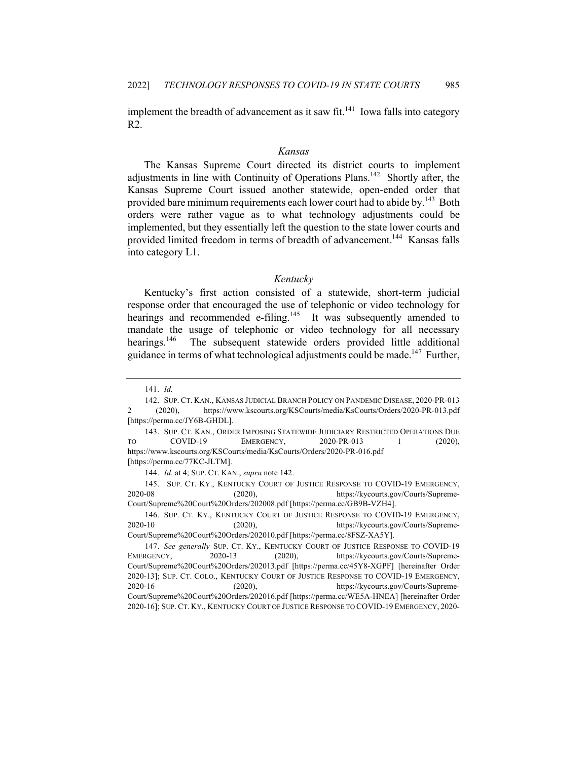implement the breadth of advancement as it saw fit.<sup>141</sup> Iowa falls into category R2.

#### *Kansas*

The Kansas Supreme Court directed its district courts to implement adjustments in line with Continuity of Operations Plans.<sup>142</sup> Shortly after, the Kansas Supreme Court issued another statewide, open-ended order that provided bare minimum requirements each lower court had to abide by.<sup>143</sup> Both orders were rather vague as to what technology adjustments could be implemented, but they essentially left the question to the state lower courts and provided limited freedom in terms of breadth of advancement.<sup>144</sup> Kansas falls into category L1.

#### *Kentucky*

Kentucky's first action consisted of a statewide, short-term judicial response order that encouraged the use of telephonic or video technology for hearings and recommended e-filing.<sup>145</sup> It was subsequently amended to mandate the usage of telephonic or video technology for all necessary hearings.<sup>146</sup> The subsequent statewide orders provided little additional guidance in terms of what technological adjustments could be made.<sup>147</sup> Further,

<sup>141.</sup> *Id.*

<sup>142.</sup> SUP. CT. KAN., KANSAS JUDICIAL BRANCH POLICY ON PANDEMIC DISEASE, 2020-PR-013 2 (2020), https://www.kscourts.org/KSCourts/media/KsCourts/Orders/2020-PR-013.pdf [https://perma.cc/JY6B-GHDL].

<sup>143.</sup> SUP. CT. KAN., ORDER IMPOSING STATEWIDE JUDICIARY RESTRICTED OPERATIONS DUE TO COVID-19 EMERGENCY, 2020-PR-013 1 (2020), https://www.kscourts.org/KSCourts/media/KsCourts/Orders/2020-PR-016.pdf [https://perma.cc/77KC-JLTM].

<sup>144.</sup> *Id.* at 4; SUP. CT. KAN., *supra* note 142.

<sup>145.</sup> SUP. CT. KY., KENTUCKY COURT OF JUSTICE RESPONSE TO COVID-19 EMERGENCY, 2020-08 (2020), https://kycourts.gov/Courts/Supreme-Court/Supreme%20Court%20Orders/202008.pdf [https://perma.cc/GB9B-VZH4].

<sup>146.</sup> SUP. CT. KY., KENTUCKY COURT OF JUSTICE RESPONSE TO COVID-19 EMERGENCY, 2020-10 (2020), https://kycourts.gov/Courts/Supreme-Court/Supreme%20Court%20Orders/202010.pdf [https://perma.cc/8FSZ-XA5Y].

<sup>147.</sup> *See generally* SUP. CT. KY., KENTUCKY COURT OF JUSTICE RESPONSE TO COVID-19 EMERGENCY, 2020-13 (2020), https://kycourts.gov/Courts/Supreme-Court/Supreme%20Court%20Orders/202013.pdf [https://perma.cc/45Y8-XGPF] [hereinafter Order 2020-13]; SUP. CT. COLO., KENTUCKY COURT OF JUSTICE RESPONSE TO COVID-19 EMERGENCY, 2020-16 (2020), https://kycourts.gov/Courts/Supreme-Court/Supreme%20Court%20Orders/202016.pdf [https://perma.cc/WE5A-HNEA] [hereinafter Order 2020-16]; SUP. CT. KY., KENTUCKY COURT OF JUSTICE RESPONSE TO COVID-19 EMERGENCY, 2020-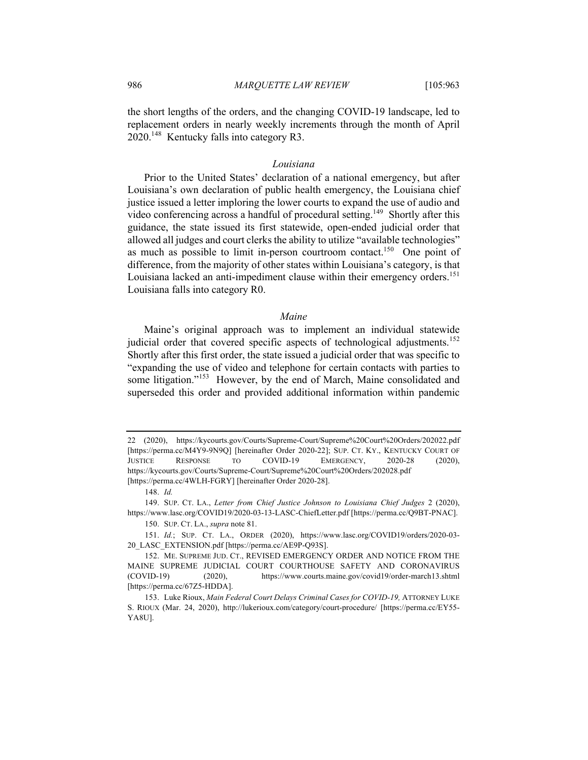the short lengths of the orders, and the changing COVID-19 landscape, led to replacement orders in nearly weekly increments through the month of April 2020.<sup>148</sup> Kentucky falls into category R3.

#### *Louisiana*

Prior to the United States' declaration of a national emergency, but after Louisiana's own declaration of public health emergency, the Louisiana chief justice issued a letter imploring the lower courts to expand the use of audio and video conferencing across a handful of procedural setting.<sup>149</sup> Shortly after this guidance, the state issued its first statewide, open-ended judicial order that allowed all judges and court clerks the ability to utilize "available technologies" as much as possible to limit in-person courtroom contact.<sup>150</sup> One point of difference, from the majority of other states within Louisiana's category, is that Louisiana lacked an anti-impediment clause within their emergency orders.<sup>151</sup> Louisiana falls into category R0.

# *Maine*

Maine's original approach was to implement an individual statewide judicial order that covered specific aspects of technological adjustments.<sup>152</sup> Shortly after this first order, the state issued a judicial order that was specific to "expanding the use of video and telephone for certain contacts with parties to some litigation."<sup>153</sup> However, by the end of March, Maine consolidated and superseded this order and provided additional information within pandemic

<sup>22</sup> (2020), https://kycourts.gov/Courts/Supreme-Court/Supreme%20Court%20Orders/202022.pdf [https://perma.cc/M4Y9-9N9Q] [hereinafter Order 2020-22]; SUP. CT. KY., KENTUCKY COURT OF JUSTICE RESPONSE TO COVID-19 EMERGENCY, 2020-28 (2020), https://kycourts.gov/Courts/Supreme-Court/Supreme%20Court%20Orders/202028.pdf [https://perma.cc/4WLH-FGRY] [hereinafter Order 2020-28].

<sup>148.</sup> *Id.*

<sup>149.</sup> SUP. CT. LA., *Letter from Chief Justice Johnson to Louisiana Chief Judges* 2 (2020), https://www.lasc.org/COVID19/2020-03-13-LASC-ChiefLetter.pdf [https://perma.cc/Q9BT-PNAC].

<sup>150.</sup> SUP. CT. LA., *supra* note 81.

<sup>151.</sup> *Id.*; SUP. CT. LA., ORDER (2020), https://www.lasc.org/COVID19/orders/2020-03- 20\_LASC\_EXTENSION.pdf [https://perma.cc/AE9P-Q93S].

<sup>152.</sup> ME. SUPREME JUD. CT., REVISED EMERGENCY ORDER AND NOTICE FROM THE MAINE SUPREME JUDICIAL COURT COURTHOUSE SAFETY AND CORONAVIRUS (COVID-19) (2020), https://www.courts.maine.gov/covid19/order-march13.shtml [https://perma.cc/67Z5-HDDA].

<sup>153.</sup> Luke Rioux, *Main Federal Court Delays Criminal Cases for COVID-19,* ATTORNEY LUKE S. RIOUX (Mar. 24, 2020), http://lukerioux.com/category/court-procedure/ [https://perma.cc/EY55- YA8U].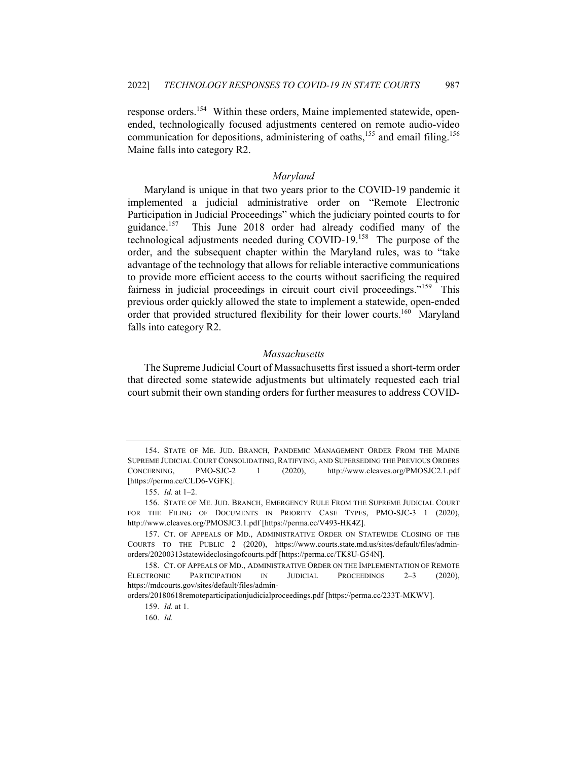response orders.<sup>154</sup> Within these orders, Maine implemented statewide, openended, technologically focused adjustments centered on remote audio-video communication for depositions, administering of oaths,<sup>155</sup> and email filing.<sup>156</sup> Maine falls into category R2.

# *Maryland*

Maryland is unique in that two years prior to the COVID-19 pandemic it implemented a judicial administrative order on "Remote Electronic Participation in Judicial Proceedings" which the judiciary pointed courts to for guidance.<sup>157</sup> This June 2018 order had already codified many of the technological adjustments needed during COVID-19.158 The purpose of the order, and the subsequent chapter within the Maryland rules, was to "take advantage of the technology that allows for reliable interactive communications to provide more efficient access to the courts without sacrificing the required fairness in judicial proceedings in circuit court civil proceedings."<sup>159</sup> This previous order quickly allowed the state to implement a statewide, open-ended order that provided structured flexibility for their lower courts.<sup>160</sup> Maryland falls into category R2.

# *Massachusetts*

The Supreme Judicial Court of Massachusetts first issued a short-term order that directed some statewide adjustments but ultimately requested each trial court submit their own standing orders for further measures to address COVID-

<sup>154.</sup> STATE OF ME. JUD. BRANCH, PANDEMIC MANAGEMENT ORDER FROM THE MAINE SUPREME JUDICIAL COURT CONSOLIDATING, RATIFYING, AND SUPERSEDING THE PREVIOUS ORDERS CONCERNING, PMO-SJC-2 1 (2020), http://www.cleaves.org/PMOSJC2.1.pdf [https://perma.cc/CLD6-VGFK].

<sup>155.</sup> *Id.* at 1–2.

<sup>156.</sup> STATE OF ME. JUD. BRANCH, EMERGENCY RULE FROM THE SUPREME JUDICIAL COURT FOR THE FILING OF DOCUMENTS IN PRIORITY CASE TYPES, PMO-SJC-3 1 (2020), http://www.cleaves.org/PMOSJC3.1.pdf [https://perma.cc/V493-HK4Z].

<sup>157.</sup> CT. OF APPEALS OF MD., ADMINISTRATIVE ORDER ON STATEWIDE CLOSING OF THE COURTS TO THE PUBLIC 2 (2020), https://www.courts.state.md.us/sites/default/files/adminorders/20200313statewideclosingofcourts.pdf [https://perma.cc/TK8U-G54N].

<sup>158.</sup> CT. OF APPEALS OF MD., ADMINISTRATIVE ORDER ON THE IMPLEMENTATION OF REMOTE ELECTRONIC PARTICIPATION IN JUDICIAL PROCEEDINGS 2–3 (2020), https://mdcourts.gov/sites/default/files/admin-

orders/20180618remoteparticipationjudicialproceedings.pdf [https://perma.cc/233T-MKWV].

<sup>159.</sup> *Id.* at 1.

<sup>160.</sup> *Id.*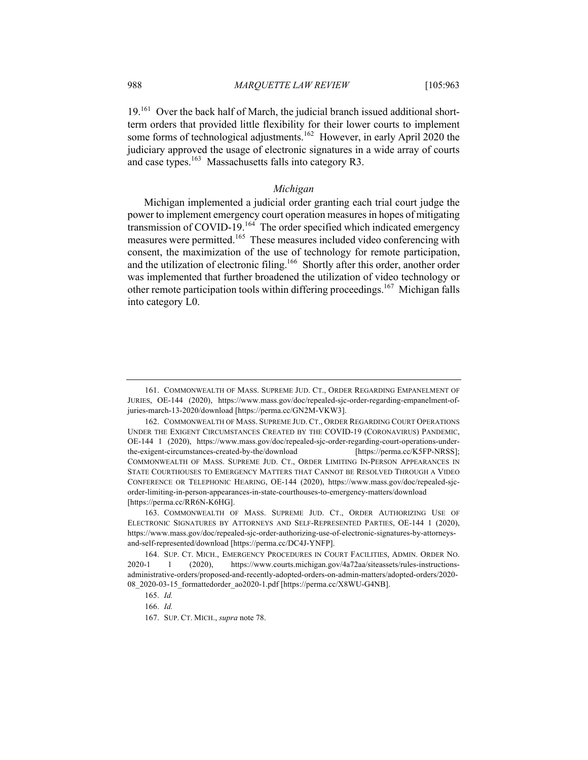19.<sup>161</sup> Over the back half of March, the judicial branch issued additional shortterm orders that provided little flexibility for their lower courts to implement some forms of technological adjustments.<sup>162</sup> However, in early April 2020 the judiciary approved the usage of electronic signatures in a wide array of courts and case types.<sup>163</sup> Massachusetts falls into category R3.

# *Michigan*

Michigan implemented a judicial order granting each trial court judge the power to implement emergency court operation measures in hopes of mitigating transmission of COVID-19.<sup>164</sup> The order specified which indicated emergency measures were permitted.<sup>165</sup> These measures included video conferencing with consent, the maximization of the use of technology for remote participation, and the utilization of electronic filing.<sup>166</sup> Shortly after this order, another order was implemented that further broadened the utilization of video technology or other remote participation tools within differing proceedings.<sup>167</sup> Michigan falls into category L0.

166. *Id.*

<sup>161.</sup> COMMONWEALTH OF MASS. SUPREME JUD. CT., ORDER REGARDING EMPANELMENT OF JURIES, OE-144 (2020), https://www.mass.gov/doc/repealed-sjc-order-regarding-empanelment-ofjuries-march-13-2020/download [https://perma.cc/GN2M-VKW3].

<sup>162.</sup> COMMONWEALTH OF MASS. SUPREME JUD. CT., ORDER REGARDING COURT OPERATIONS UNDER THE EXIGENT CIRCUMSTANCES CREATED BY THE COVID-19 (CORONAVIRUS) PANDEMIC, OE-144 1 (2020), https://www.mass.gov/doc/repealed-sjc-order-regarding-court-operations-underthe-exigent-circumstances-created-by-the/download [https://perma.cc/K5FP-NRSS]; COMMONWEALTH OF MASS. SUPREME JUD. CT., ORDER LIMITING IN-PERSON APPEARANCES IN STATE COURTHOUSES TO EMERGENCY MATTERS THAT CANNOT BE RESOLVED THROUGH A VIDEO CONFERENCE OR TELEPHONIC HEARING, OE-144 (2020), https://www.mass.gov/doc/repealed-sjcorder-limiting-in-person-appearances-in-state-courthouses-to-emergency-matters/download [https://perma.cc/RR6N-K6HG].

<sup>163.</sup> COMMONWEALTH OF MASS. SUPREME JUD. CT., ORDER AUTHORIZING USE OF ELECTRONIC SIGNATURES BY ATTORNEYS AND SELF-REPRESENTED PARTIES, OE-144 1 (2020), https://www.mass.gov/doc/repealed-sjc-order-authorizing-use-of-electronic-signatures-by-attorneysand-self-represented/download [https://perma.cc/DC4J-YNFP].

<sup>164.</sup> SUP. CT. MICH., EMERGENCY PROCEDURES IN COURT FACILITIES, ADMIN. ORDER NO. 2020-1 1 (2020), https://www.courts.michigan.gov/4a72aa/siteassets/rules-instructionsadministrative-orders/proposed-and-recently-adopted-orders-on-admin-matters/adopted-orders/2020- 08\_2020-03-15\_formattedorder\_ao2020-1.pdf [https://perma.cc/X8WU-G4NB].

<sup>165.</sup> *Id.*

<sup>167.</sup> SUP. CT. MICH., *supra* note 78.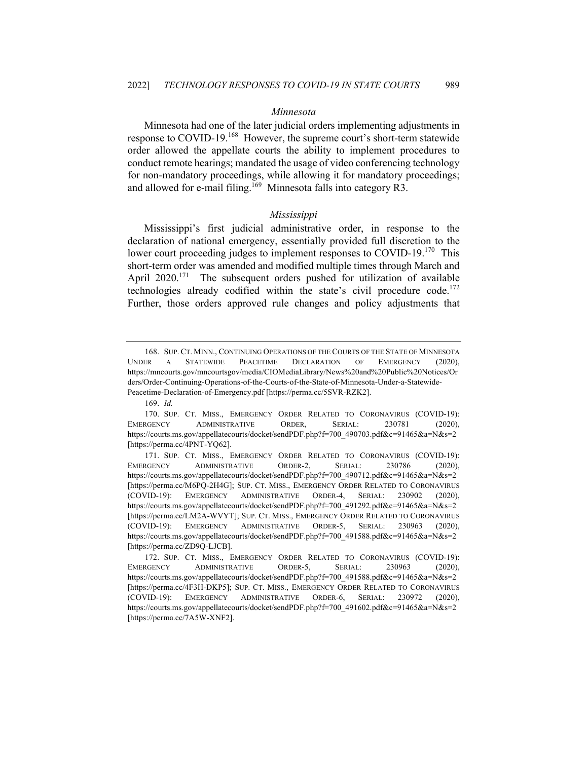# *Minnesota*

Minnesota had one of the later judicial orders implementing adjustments in response to COVID-19.<sup>168</sup> However, the supreme court's short-term statewide order allowed the appellate courts the ability to implement procedures to conduct remote hearings; mandated the usage of video conferencing technology for non-mandatory proceedings, while allowing it for mandatory proceedings; and allowed for e-mail filing.<sup>169</sup> Minnesota falls into category R3.

#### *Mississippi*

Mississippi's first judicial administrative order, in response to the declaration of national emergency, essentially provided full discretion to the lower court proceeding judges to implement responses to COVID-19.<sup>170</sup> This short-term order was amended and modified multiple times through March and April  $2020$ <sup>171</sup> The subsequent orders pushed for utilization of available technologies already codified within the state's civil procedure code.<sup>172</sup> Further, those orders approved rule changes and policy adjustments that

<sup>168.</sup> SUP. CT. MINN., CONTINUING OPERATIONS OF THE COURTS OF THE STATE OF MINNESOTA UNDER A STATEWIDE PEACETIME DECLARATION OF EMERGENCY (2020), https://mncourts.gov/mncourtsgov/media/CIOMediaLibrary/News%20and%20Public%20Notices/Or ders/Order-Continuing-Operations-of-the-Courts-of-the-State-of-Minnesota-Under-a-Statewide-Peacetime-Declaration-of-Emergency.pdf [https://perma.cc/5SVR-RZK2].

<sup>169.</sup> *Id.*

<sup>170.</sup> SUP. CT. MISS., EMERGENCY ORDER RELATED TO CORONAVIRUS (COVID-19): EMERGENCY ADMINISTRATIVE ORDER, SERIAL: 230781 (2020), https://courts.ms.gov/appellatecourts/docket/sendPDF.php?f=700\_490703.pdf&c=91465&a=N&s=2 [https://perma.cc/4PNT-YQ62].

<sup>171.</sup> SUP. CT. MISS., EMERGENCY ORDER RELATED TO CORONAVIRUS (COVID-19): EMERGENCY ADMINISTRATIVE ORDER-2, SERIAL: 230786 (2020), https://courts.ms.gov/appellatecourts/docket/sendPDF.php?f=700\_490712.pdf&c=91465&a=N&s=2 [https://perma.cc/M6PQ-2H4G]; SUP. CT. MISS., EMERGENCY ORDER RELATED TO CORONAVIRUS (COVID-19): EMERGENCY ADMINISTRATIVE ORDER-4, SERIAL: 230902 (2020), https://courts.ms.gov/appellatecourts/docket/sendPDF.php?f=700\_491292.pdf&c=91465&a=N&s=2 [https://perma.cc/LM2A-WVYT]; SUP. CT. MISS., EMERGENCY ORDER RELATED TO CORONAVIRUS (COVID-19): EMERGENCY ADMINISTRATIVE ORDER-5, SERIAL: 230963 (2020), https://courts.ms.gov/appellatecourts/docket/sendPDF.php?f=700\_491588.pdf&c=91465&a=N&s=2 [https://perma.cc/ZD9Q-LJCB].

<sup>172.</sup> SUP. CT. MISS., EMERGENCY ORDER RELATED TO CORONAVIRUS (COVID-19): EMERGENCY ADMINISTRATIVE ORDER-5, SERIAL: 230963 (2020), https://courts.ms.gov/appellatecourts/docket/sendPDF.php?f=700\_491588.pdf&c=91465&a=N&s=2 [https://perma.cc/4F3H-DKP5]; SUP. CT. MISS., EMERGENCY ORDER RELATED TO CORONAVIRUS (COVID-19): EMERGENCY ADMINISTRATIVE ORDER-6, SERIAL: 230972 (2020), https://courts.ms.gov/appellatecourts/docket/sendPDF.php?f=700\_491602.pdf&c=91465&a=N&s=2 [https://perma.cc/7A5W-XNF2].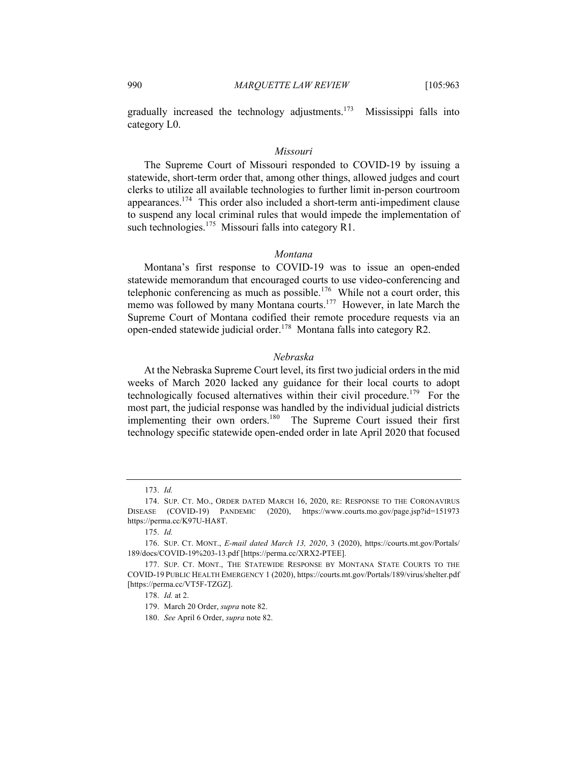gradually increased the technology adjustments.<sup>173</sup> Mississippi falls into category L0.

#### *Missouri*

The Supreme Court of Missouri responded to COVID-19 by issuing a statewide, short-term order that, among other things, allowed judges and court clerks to utilize all available technologies to further limit in-person courtroom appearances.174 This order also included a short-term anti-impediment clause to suspend any local criminal rules that would impede the implementation of such technologies.<sup>175</sup> Missouri falls into category R1.

# *Montana*

Montana's first response to COVID-19 was to issue an open-ended statewide memorandum that encouraged courts to use video-conferencing and telephonic conferencing as much as possible.<sup>176</sup> While not a court order, this memo was followed by many Montana courts.<sup>177</sup> However, in late March the Supreme Court of Montana codified their remote procedure requests via an open-ended statewide judicial order.<sup>178</sup> Montana falls into category R2.

#### *Nebraska*

At the Nebraska Supreme Court level, its first two judicial orders in the mid weeks of March 2020 lacked any guidance for their local courts to adopt technologically focused alternatives within their civil procedure.<sup>179</sup> For the most part, the judicial response was handled by the individual judicial districts implementing their own orders.<sup>180</sup> The Supreme Court issued their first technology specific statewide open-ended order in late April 2020 that focused

180. *See* April 6 Order, *supra* note 82.

<sup>173.</sup> *Id.*

<sup>174.</sup> SUP. CT. MO., ORDER DATED MARCH 16, 2020, RE: RESPONSE TO THE CORONAVIRUS DISEASE (COVID-19) PANDEMIC (2020), https://www.courts.mo.gov/page.jsp?id=151973 https://perma.cc/K97U-HA8T.

<sup>175.</sup> *Id.*

<sup>176.</sup> SUP. CT. MONT., *E-mail dated March 13, 2020*, 3 (2020), https://courts.mt.gov/Portals/ 189/docs/COVID-19%203-13.pdf [https://perma.cc/XRX2-PTEE].

<sup>177.</sup> SUP. CT. MONT., THE STATEWIDE RESPONSE BY MONTANA STATE COURTS TO THE COVID-19 PUBLIC HEALTH EMERGENCY 1 (2020), https://courts.mt.gov/Portals/189/virus/shelter.pdf [https://perma.cc/VT5F-TZGZ].

<sup>178.</sup> *Id.* at 2.

<sup>179.</sup> March 20 Order, *supra* note 82.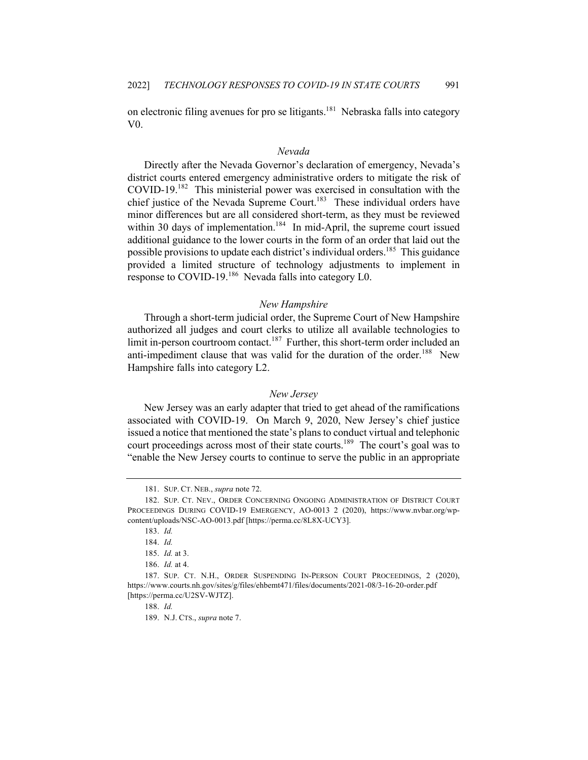on electronic filing avenues for pro se litigants.<sup>181</sup> Nebraska falls into category V0.

# *Nevada*

Directly after the Nevada Governor's declaration of emergency, Nevada's district courts entered emergency administrative orders to mitigate the risk of COVID-19.<sup>182</sup> This ministerial power was exercised in consultation with the chief justice of the Nevada Supreme Court.<sup>183</sup> These individual orders have minor differences but are all considered short-term, as they must be reviewed within 30 days of implementation.<sup>184</sup> In mid-April, the supreme court issued additional guidance to the lower courts in the form of an order that laid out the possible provisions to update each district's individual orders.<sup>185</sup> This guidance provided a limited structure of technology adjustments to implement in response to COVID-19.<sup>186</sup> Nevada falls into category L0.

#### *New Hampshire*

Through a short-term judicial order, the Supreme Court of New Hampshire authorized all judges and court clerks to utilize all available technologies to limit in-person courtroom contact.<sup>187</sup> Further, this short-term order included an anti-impediment clause that was valid for the duration of the order.<sup>188</sup> New Hampshire falls into category L2.

#### *New Jersey*

New Jersey was an early adapter that tried to get ahead of the ramifications associated with COVID-19. On March 9, 2020, New Jersey's chief justice issued a notice that mentioned the state's plans to conduct virtual and telephonic court proceedings across most of their state courts.<sup>189</sup> The court's goal was to "enable the New Jersey courts to continue to serve the public in an appropriate

<sup>181.</sup> SUP. CT. NEB., *supra* note 72.

<sup>182.</sup> SUP. CT. NEV., ORDER CONCERNING ONGOING ADMINISTRATION OF DISTRICT COURT PROCEEDINGS DURING COVID-19 EMERGENCY, AO-0013 2 (2020), https://www.nvbar.org/wpcontent/uploads/NSC-AO-0013.pdf [https://perma.cc/8L8X-UCY3].

<sup>183.</sup> *Id.*

<sup>184.</sup> *Id.*

<sup>185.</sup> *Id.* at 3.

<sup>186.</sup> *Id.* at 4.

<sup>187.</sup> SUP. CT. N.H., ORDER SUSPENDING IN-PERSON COURT PROCEEDINGS, 2 (2020), https://www.courts.nh.gov/sites/g/files/ehbemt471/files/documents/2021-08/3-16-20-order.pdf [https://perma.cc/U2SV-WJTZ].

<sup>188.</sup> *Id.*

<sup>189.</sup> N.J. CTS., *supra* note 7.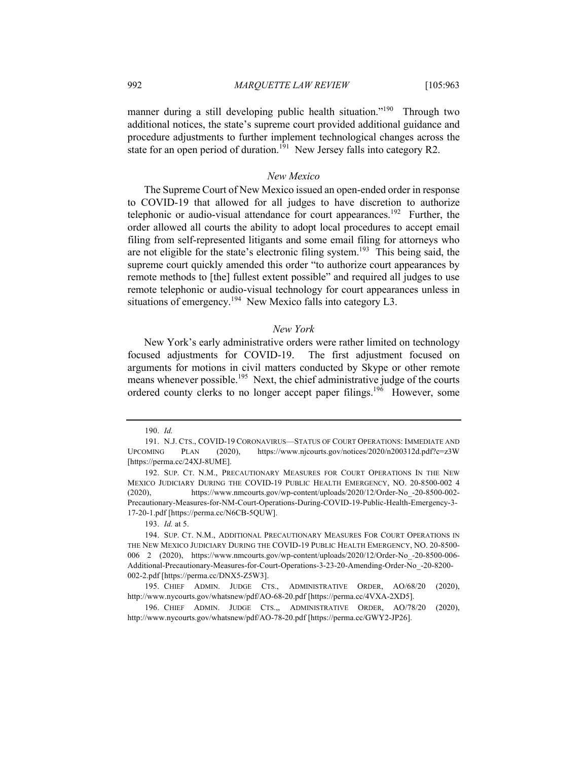manner during a still developing public health situation."<sup>190</sup> Through two additional notices, the state's supreme court provided additional guidance and procedure adjustments to further implement technological changes across the state for an open period of duration.<sup>191</sup> New Jersey falls into category R2.

# *New Mexico*

The Supreme Court of New Mexico issued an open-ended order in response to COVID-19 that allowed for all judges to have discretion to authorize telephonic or audio-visual attendance for court appearances.<sup>192</sup> Further, the order allowed all courts the ability to adopt local procedures to accept email filing from self-represented litigants and some email filing for attorneys who are not eligible for the state's electronic filing system.<sup>193</sup> This being said, the supreme court quickly amended this order "to authorize court appearances by remote methods to [the] fullest extent possible" and required all judges to use remote telephonic or audio-visual technology for court appearances unless in situations of emergency.<sup>194</sup> New Mexico falls into category L3.

# *New York*

New York's early administrative orders were rather limited on technology focused adjustments for COVID-19. The first adjustment focused on arguments for motions in civil matters conducted by Skype or other remote means whenever possible.<sup>195</sup> Next, the chief administrative judge of the courts ordered county clerks to no longer accept paper filings.<sup>196</sup> However, some

<sup>190.</sup> *Id.*

<sup>191.</sup> N.J. CTS., COVID-19 CORONAVIRUS—STATUS OF COURT OPERATIONS: IMMEDIATE AND UPCOMING PLAN (2020), https://www.njcourts.gov/notices/2020/n200312d.pdf?c=z3W [https://perma.cc/24XJ-8UME].

<sup>192.</sup> SUP. CT. N.M., PRECAUTIONARY MEASURES FOR COURT OPERATIONS IN THE NEW MEXICO JUDICIARY DURING THE COVID-19 PUBLIC HEALTH EMERGENCY, NO. 20-8500-002 4 (2020), https://www.nmcourts.gov/wp-content/uploads/2020/12/Order-No\_-20-8500-002- Precautionary-Measures-for-NM-Court-Operations-During-COVID-19-Public-Health-Emergency-3- 17-20-1.pdf [https://perma.cc/N6CB-5QUW].

<sup>193.</sup> *Id.* at 5.

<sup>194.</sup> SUP. CT. N.M., ADDITIONAL PRECAUTIONARY MEASURES FOR COURT OPERATIONS IN THE NEW MEXICO JUDICIARY DURING THE COVID-19 PUBLIC HEALTH EMERGENCY, NO. 20-8500- 006 2 (2020), https://www.nmcourts.gov/wp-content/uploads/2020/12/Order-No\_-20-8500-006- Additional-Precautionary-Measures-for-Court-Operations-3-23-20-Amending-Order-No\_-20-8200- 002-2.pdf [https://perma.cc/DNX5-Z5W3].

<sup>195.</sup> CHIEF ADMIN. JUDGE CTS., ADMINISTRATIVE ORDER, AO/68/20 (2020), http://www.nycourts.gov/whatsnew/pdf/AO-68-20.pdf [https://perma.cc/4VXA-2XD5].

<sup>196.</sup> CHIEF ADMIN. JUDGE CTS.,, ADMINISTRATIVE ORDER, AO/78/20 (2020), http://www.nycourts.gov/whatsnew/pdf/AO-78-20.pdf [https://perma.cc/GWY2-JP26].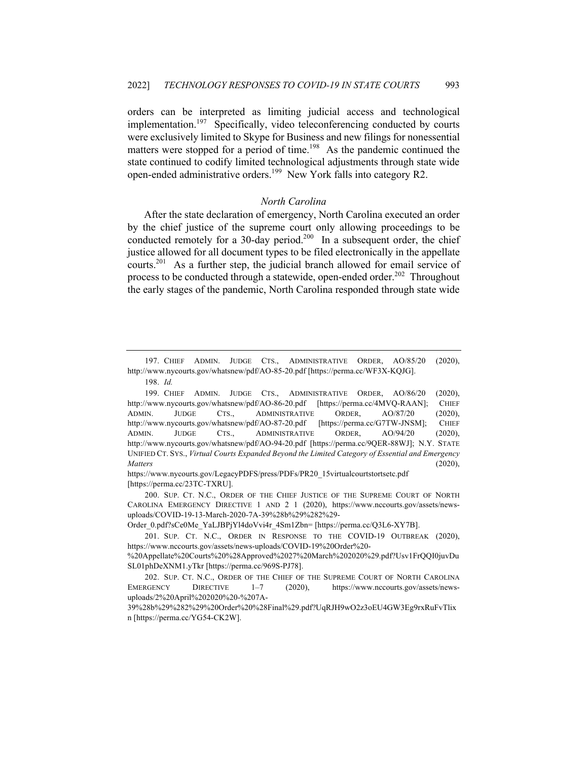orders can be interpreted as limiting judicial access and technological implementation.<sup>197</sup> Specifically, video teleconferencing conducted by courts were exclusively limited to Skype for Business and new filings for nonessential matters were stopped for a period of time.<sup>198</sup> As the pandemic continued the state continued to codify limited technological adjustments through state wide open-ended administrative orders.<sup>199</sup> New York falls into category R2.

# *North Carolina*

After the state declaration of emergency, North Carolina executed an order by the chief justice of the supreme court only allowing proceedings to be conducted remotely for a 30-day period.<sup>200</sup> In a subsequent order, the chief justice allowed for all document types to be filed electronically in the appellate courts.<sup>201</sup> As a further step, the judicial branch allowed for email service of process to be conducted through a statewide, open-ended order.<sup>202</sup> Throughout the early stages of the pandemic, North Carolina responded through state wide

https://www.nycourts.gov/LegacyPDFS/press/PDFs/PR20\_15virtualcourtstortsetc.pdf [https://perma.cc/23TC-TXRU].

200. SUP. CT. N.C., ORDER OF THE CHIEF JUSTICE OF THE SUPREME COURT OF NORTH CAROLINA EMERGENCY DIRECTIVE 1 AND 2 1 (2020), https://www.nccourts.gov/assets/newsuploads/COVID-19-13-March-2020-7A-39%28b%29%282%29-

Order\_0.pdf?sCe0Me\_YaLJBPjYl4doVvi4r\_4Sm1Zbn= [https://perma.cc/Q3L6-XY7B].

201. SUP. CT. N.C., ORDER IN RESPONSE TO THE COVID-19 OUTBREAK (2020), https://www.nccourts.gov/assets/news-uploads/COVID-19%20Order%20-

<sup>197.</sup> CHIEF ADMIN. JUDGE CTS., ADMINISTRATIVE ORDER, AO/85/20 (2020), http://www.nycourts.gov/whatsnew/pdf/AO-85-20.pdf [https://perma.cc/WF3X-KQJG].

<sup>198.</sup> *Id.*

<sup>199.</sup> CHIEF ADMIN. JUDGE CTS., ADMINISTRATIVE ORDER, AO/86/20 (2020), http://www.nycourts.gov/whatsnew/pdf/AO-86-20.pdf [https://perma.cc/4MVQ-RAAN]; CHIEF ADMIN. JUDGE CTS., ADMINISTRATIVE ORDER, AO/87/20 (2020), http://www.nycourts.gov/whatsnew/pdf/AO-87-20.pdf [https://perma.cc/G7TW-JNSM]; CHIEF ADMIN. JUDGE CTS., ADMINISTRATIVE ORDER, AO/94/20 (2020), http://www.nycourts.gov/whatsnew/pdf/AO-94-20.pdf [https://perma.cc/9QER-88WJ]; N.Y. STATE UNIFIED CT. SYS., *Virtual Courts Expanded Beyond the Limited Category of Essential and Emergency Matters* (2020),

<sup>%20</sup>Appellate%20Courts%20%28Approved%2027%20March%202020%29.pdf?Usv1FrQQI0juvDu SL01phDeXNM1.yTkr [https://perma.cc/969S-PJ78].

<sup>202.</sup> SUP. CT. N.C., ORDER OF THE CHIEF OF THE SUPREME COURT OF NORTH CAROLINA EMERGENCY DIRECTIVE 1–7 (2020), https://www.nccourts.gov/assets/newsuploads/2%20April%202020%20-%207A-

<sup>39%28</sup>b%29%282%29%20Order%20%28Final%29.pdf?UqRJH9wO2z3oEU4GW3Eg9rxRuFvTlix n [https://perma.cc/YG54-CK2W].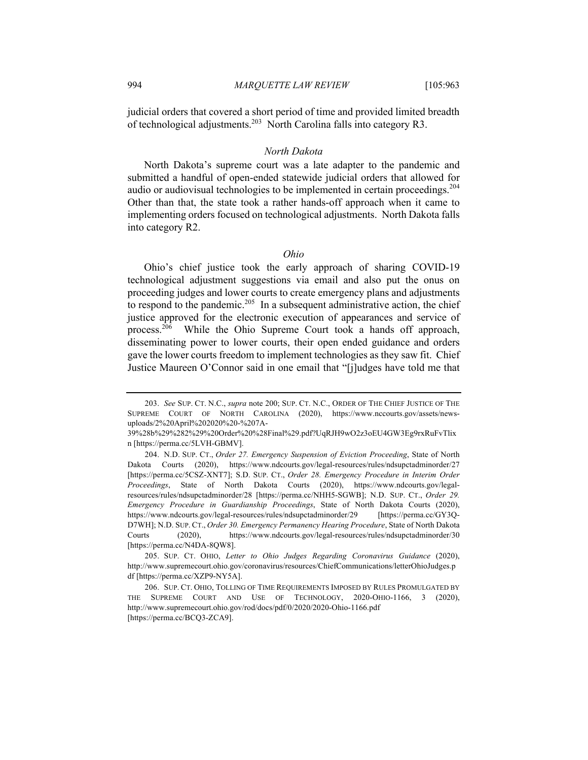judicial orders that covered a short period of time and provided limited breadth of technological adjustments.<sup>203</sup> North Carolina falls into category R3.

#### *North Dakota*

North Dakota's supreme court was a late adapter to the pandemic and submitted a handful of open-ended statewide judicial orders that allowed for audio or audiovisual technologies to be implemented in certain proceedings.<sup>204</sup> Other than that, the state took a rather hands-off approach when it came to implementing orders focused on technological adjustments. North Dakota falls into category R2.

# *Ohio*

Ohio's chief justice took the early approach of sharing COVID-19 technological adjustment suggestions via email and also put the onus on proceeding judges and lower courts to create emergency plans and adjustments to respond to the pandemic.<sup>205</sup> In a subsequent administrative action, the chief justice approved for the electronic execution of appearances and service of process.<sup>206</sup> While the Ohio Supreme Court took a hands off approach, disseminating power to lower courts, their open ended guidance and orders gave the lower courts freedom to implement technologies as they saw fit. Chief Justice Maureen O'Connor said in one email that "[j]udges have told me that

<sup>203.</sup> *See* SUP. CT. N.C., *supra* note 200; SUP. CT. N.C., ORDER OF THE CHIEF JUSTICE OF THE SUPREME COURT OF NORTH CAROLINA (2020), https://www.nccourts.gov/assets/newsuploads/2%20April%202020%20-%207A-

<sup>39%28</sup>b%29%282%29%20Order%20%28Final%29.pdf?UqRJH9wO2z3oEU4GW3Eg9rxRuFvTlix n [https://perma.cc/5LVH-GBMV].

<sup>204.</sup> N.D. SUP. CT., *Order 27. Emergency Suspension of Eviction Proceeding*, State of North Dakota Courts (2020), https://www.ndcourts.gov/legal-resources/rules/ndsupctadminorder/27 [https://perma.cc/5CSZ-XNT7]; S.D. SUP. CT., *Order 28. Emergency Procedure in Interim Order Proceedings*, State of North Dakota Courts (2020), https://www.ndcourts.gov/legalresources/rules/ndsupctadminorder/28 [https://perma.cc/NHH5-SGWB]; N.D. SUP. CT., *Order 29. Emergency Procedure in Guardianship Proceedings*, State of North Dakota Courts (2020), https://www.ndcourts.gov/legal-resources/rules/ndsupctadminorder/29 [https://perma.cc/GY3Q-D7WH]; N.D. SUP. CT., *Order 30. Emergency Permanency Hearing Procedure*, State of North Dakota Courts (2020), https://www.ndcourts.gov/legal-resources/rules/ndsupctadminorder/30 [https://perma.cc/N4DA-8QW8].

<sup>205.</sup> SUP. CT. OHIO, *Letter to Ohio Judges Regarding Coronavirus Guidance* (2020), http://www.supremecourt.ohio.gov/coronavirus/resources/ChiefCommunications/letterOhioJudges.p df [https://perma.cc/XZP9-NY5A].

<sup>206.</sup> SUP. CT. OHIO, TOLLING OF TIME REQUIREMENTS IMPOSED BY RULES PROMULGATED BY THE SUPREME COURT AND USE OF TECHNOLOGY, 2020-OHIO-1166, 3 (2020), http://www.supremecourt.ohio.gov/rod/docs/pdf/0/2020/2020-Ohio-1166.pdf [https://perma.cc/BCQ3-ZCA9].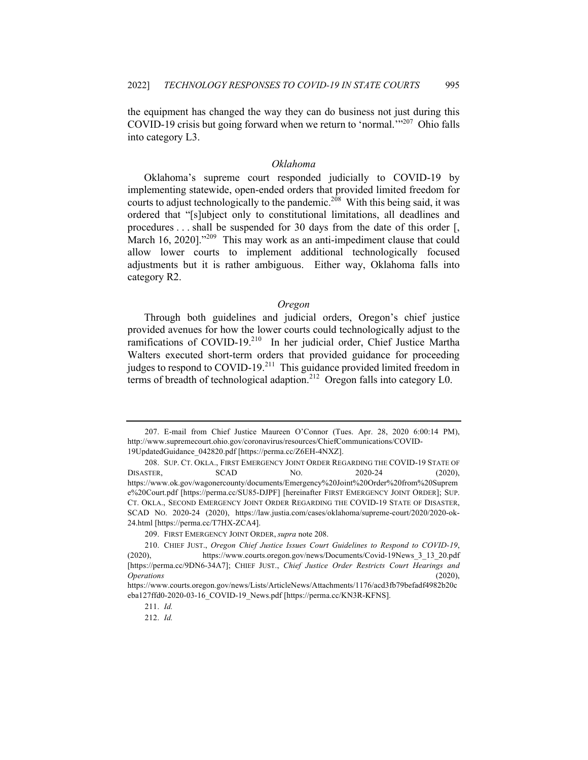the equipment has changed the way they can do business not just during this COVID-19 crisis but going forward when we return to 'normal.'"<sup>207</sup> Ohio falls into category L3.

#### *Oklahoma*

Oklahoma's supreme court responded judicially to COVID-19 by implementing statewide, open-ended orders that provided limited freedom for courts to adjust technologically to the pandemic.<sup>208</sup> With this being said, it was ordered that "[s]ubject only to constitutional limitations, all deadlines and procedures . . . shall be suspended for 30 days from the date of this order [, March 16, 2020]."<sup>209</sup> This may work as an anti-impediment clause that could allow lower courts to implement additional technologically focused adjustments but it is rather ambiguous. Either way, Oklahoma falls into category R2.

# *Oregon*

Through both guidelines and judicial orders, Oregon's chief justice provided avenues for how the lower courts could technologically adjust to the ramifications of COVID-19.<sup>210</sup> In her judicial order, Chief Justice Martha Walters executed short-term orders that provided guidance for proceeding judges to respond to COVID-19.<sup>211</sup> This guidance provided limited freedom in terms of breadth of technological adaption.<sup>212</sup> Oregon falls into category L0.

<sup>207.</sup> E-mail from Chief Justice Maureen O'Connor (Tues. Apr. 28, 2020 6:00:14 PM), http://www.supremecourt.ohio.gov/coronavirus/resources/ChiefCommunications/COVID-19UpdatedGuidance\_042820.pdf [https://perma.cc/Z6EH-4NXZ].

<sup>208.</sup> SUP. CT. OKLA., FIRST EMERGENCY JOINT ORDER REGARDING THE COVID-19 STATE OF DISASTER, SCAD NO. 2020-24 (2020), https://www.ok.gov/wagonercounty/documents/Emergency%20Joint%20Order%20from%20Suprem e%20Court.pdf [https://perma.cc/SU85-DJPF] [hereinafter FIRST EMERGENCY JOINT ORDER]; SUP. CT. OKLA., SECOND EMERGENCY JOINT ORDER REGARDING THE COVID-19 STATE OF DISASTER, SCAD NO. 2020-24 (2020), https://law.justia.com/cases/oklahoma/supreme-court/2020/2020-ok-24.html [https://perma.cc/T7HX-ZCA4].

<sup>209.</sup> FIRST EMERGENCY JOINT ORDER, *supra* note 208.

<sup>210.</sup> CHIEF JUST., *Oregon Chief Justice Issues Court Guidelines to Respond to COVID-19*, (2020), https://www.courts.oregon.gov/news/Documents/Covid-19News\_3\_13\_20.pdf [https://perma.cc/9DN6-34A7]; CHIEF JUST., *Chief Justice Order Restricts Court Hearings and Operations* (2020),

https://www.courts.oregon.gov/news/Lists/ArticleNews/Attachments/1176/acd3fb79befadf4982b20c eba127ffd0-2020-03-16\_COVID-19\_News.pdf [https://perma.cc/KN3R-KFNS].

<sup>211.</sup> *Id.*

<sup>212.</sup> *Id.*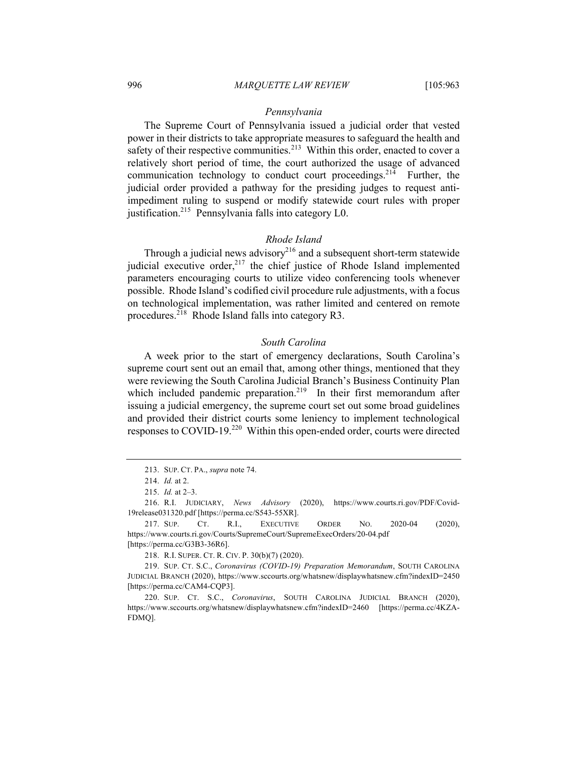# *Pennsylvania*

The Supreme Court of Pennsylvania issued a judicial order that vested power in their districts to take appropriate measures to safeguard the health and safety of their respective communities.<sup>213</sup> Within this order, enacted to cover a relatively short period of time, the court authorized the usage of advanced communication technology to conduct court proceedings.<sup>214</sup> Further, the judicial order provided a pathway for the presiding judges to request antiimpediment ruling to suspend or modify statewide court rules with proper justification.<sup>215</sup> Pennsylvania falls into category L0.

#### *Rhode Island*

Through a judicial news advisory<sup>216</sup> and a subsequent short-term statewide judicial executive order, $217$  the chief justice of Rhode Island implemented parameters encouraging courts to utilize video conferencing tools whenever possible. Rhode Island's codified civil procedure rule adjustments, with a focus on technological implementation, was rather limited and centered on remote procedures.<sup>218</sup> Rhode Island falls into category R3.

# *South Carolina*

A week prior to the start of emergency declarations, South Carolina's supreme court sent out an email that, among other things, mentioned that they were reviewing the South Carolina Judicial Branch's Business Continuity Plan which included pandemic preparation.<sup>219</sup> In their first memorandum after issuing a judicial emergency, the supreme court set out some broad guidelines and provided their district courts some leniency to implement technological responses to COVID-19.<sup>220</sup> Within this open-ended order, courts were directed

<sup>213.</sup> SUP. CT. PA., *supra* note 74.

<sup>214.</sup> *Id.* at 2.

<sup>215.</sup> *Id.* at 2–3.

<sup>216.</sup> R.I. JUDICIARY, *News Advisory* (2020), https://www.courts.ri.gov/PDF/Covid-19release031320.pdf [https://perma.cc/S543-55XR].

<sup>217.</sup> SUP. CT. R.I., EXECUTIVE ORDER NO. 2020-04 (2020), https://www.courts.ri.gov/Courts/SupremeCourt/SupremeExecOrders/20-04.pdf [https://perma.cc/G3B3-36R6].

<sup>218.</sup> R.I. SUPER. CT. R. CIV. P. 30(b)(7) (2020).

<sup>219.</sup> SUP. CT. S.C., *Coronavirus (COVID-19) Preparation Memorandum*, SOUTH CAROLINA JUDICIAL BRANCH (2020), https://www.sccourts.org/whatsnew/displaywhatsnew.cfm?indexID=2450 [https://perma.cc/CAM4-CQP3].

<sup>220.</sup> SUP. CT. S.C., *Coronavirus*, SOUTH CAROLINA JUDICIAL BRANCH (2020), https://www.sccourts.org/whatsnew/displaywhatsnew.cfm?indexID=2460 [https://perma.cc/4KZA-FDMQ].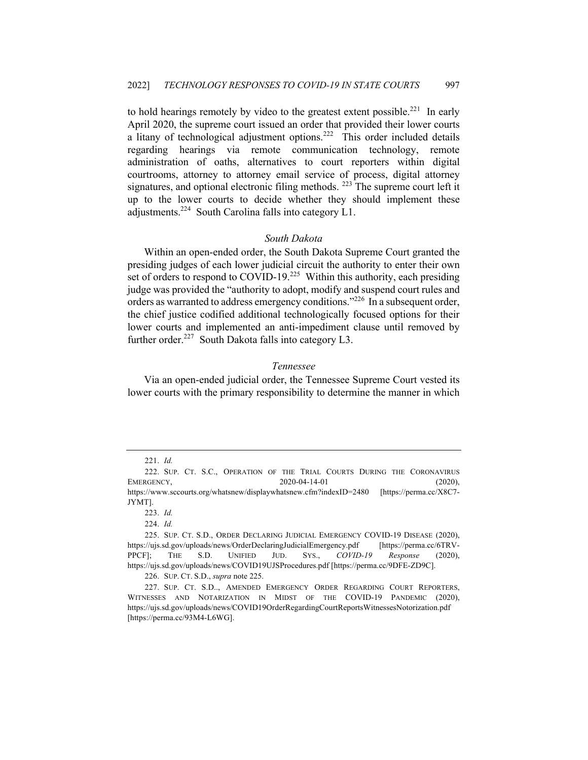to hold hearings remotely by video to the greatest extent possible.<sup>221</sup> In early April 2020, the supreme court issued an order that provided their lower courts a litany of technological adjustment options.<sup>222</sup> This order included details regarding hearings via remote communication technology, remote administration of oaths, alternatives to court reporters within digital courtrooms, attorney to attorney email service of process, digital attorney signatures, and optional electronic filing methods.  $^{223}$  The supreme court left it up to the lower courts to decide whether they should implement these adjustments.224 South Carolina falls into category L1.

#### *South Dakota*

Within an open-ended order, the South Dakota Supreme Court granted the presiding judges of each lower judicial circuit the authority to enter their own set of orders to respond to COVID-19.<sup>225</sup> Within this authority, each presiding judge was provided the "authority to adopt, modify and suspend court rules and orders as warranted to address emergency conditions."<sup>226</sup> In a subsequent order, the chief justice codified additional technologically focused options for their lower courts and implemented an anti-impediment clause until removed by further order.<sup>227</sup> South Dakota falls into category L3.

#### *Tennessee*

Via an open-ended judicial order, the Tennessee Supreme Court vested its lower courts with the primary responsibility to determine the manner in which

<sup>221.</sup> *Id.*

<sup>222.</sup> SUP. CT. S.C., OPERATION OF THE TRIAL COURTS DURING THE CORONAVIRUS EMERGENCY, 2020-04-14-01 (2020), https://www.sccourts.org/whatsnew/displaywhatsnew.cfm?indexID=2480 [https://perma.cc/X8C7- JYMT].

<sup>223.</sup> *Id.*

<sup>224.</sup> *Id.*

<sup>225.</sup> SUP. CT. S.D., ORDER DECLARING JUDICIAL EMERGENCY COVID-19 DISEASE (2020), https://ujs.sd.gov/uploads/news/OrderDeclaringJudicialEmergency.pdf [https://perma.cc/6TRV-PPCF]; THE S.D. UNIFIED JUD. SYS., *COVID-19 Response* (2020), https://ujs.sd.gov/uploads/news/COVID19UJSProcedures.pdf [https://perma.cc/9DFE-ZD9C].

<sup>226.</sup> SUP. CT. S.D., *supra* note 225.

<sup>227.</sup> SUP. CT. S.D.., AMENDED EMERGENCY ORDER REGARDING COURT REPORTERS, WITNESSES AND NOTARIZATION IN MIDST OF THE COVID-19 PANDEMIC (2020), https://ujs.sd.gov/uploads/news/COVID19OrderRegardingCourtReportsWitnessesNotorization.pdf [https://perma.cc/93M4-L6WG].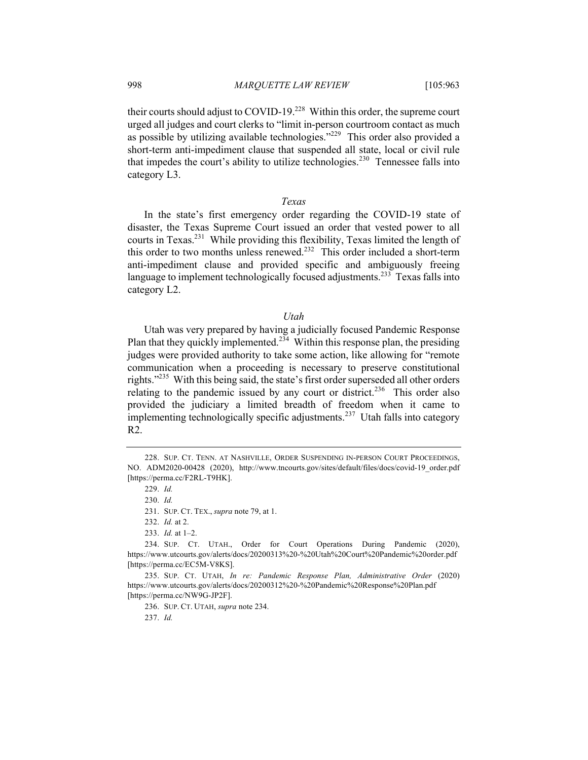their courts should adjust to COVID-19.<sup>228</sup> Within this order, the supreme court urged all judges and court clerks to "limit in-person courtroom contact as much as possible by utilizing available technologies."<sup>229</sup> This order also provided a short-term anti-impediment clause that suspended all state, local or civil rule that impedes the court's ability to utilize technologies.<sup>230</sup> Tennessee falls into category L3.

#### *Texas*

In the state's first emergency order regarding the COVID-19 state of disaster, the Texas Supreme Court issued an order that vested power to all courts in Texas.231 While providing this flexibility, Texas limited the length of this order to two months unless renewed.<sup>232</sup> This order included a short-term anti-impediment clause and provided specific and ambiguously freeing language to implement technologically focused adjustments.<sup>233</sup> Texas falls into category L2.

#### *Utah*

Utah was very prepared by having a judicially focused Pandemic Response Plan that they quickly implemented.<sup>234</sup> Within this response plan, the presiding judges were provided authority to take some action, like allowing for "remote communication when a proceeding is necessary to preserve constitutional rights."<sup>235</sup> With this being said, the state's first order superseded all other orders relating to the pandemic issued by any court or district.<sup>236</sup> This order also provided the judiciary a limited breadth of freedom when it came to implementing technologically specific adjustments.<sup>237</sup> Utah falls into category R2.

237. *Id.*

<sup>228.</sup> SUP. CT. TENN. AT NASHVILLE, ORDER SUSPENDING IN-PERSON COURT PROCEEDINGS, NO. ADM2020-00428 (2020), http://www.tncourts.gov/sites/default/files/docs/covid-19\_order.pdf [https://perma.cc/F2RL-T9HK].

<sup>229.</sup> *Id.*

<sup>230.</sup> *Id.*

<sup>231.</sup> SUP. CT. TEX., *supra* note 79, at 1.

<sup>232.</sup> *Id.* at 2.

<sup>233.</sup> *Id.* at 1–2.

<sup>234.</sup> SUP. CT. UTAH., Order for Court Operations During Pandemic (2020), https://www.utcourts.gov/alerts/docs/20200313%20-%20Utah%20Court%20Pandemic%20order.pdf [https://perma.cc/EC5M-V8KS].

<sup>235.</sup> SUP. CT. UTAH, *In re: Pandemic Response Plan, Administrative Order* (2020) https://www.utcourts.gov/alerts/docs/20200312%20-%20Pandemic%20Response%20Plan.pdf [https://perma.cc/NW9G-JP2F].

<sup>236.</sup> SUP. CT. UTAH, *supra* note 234.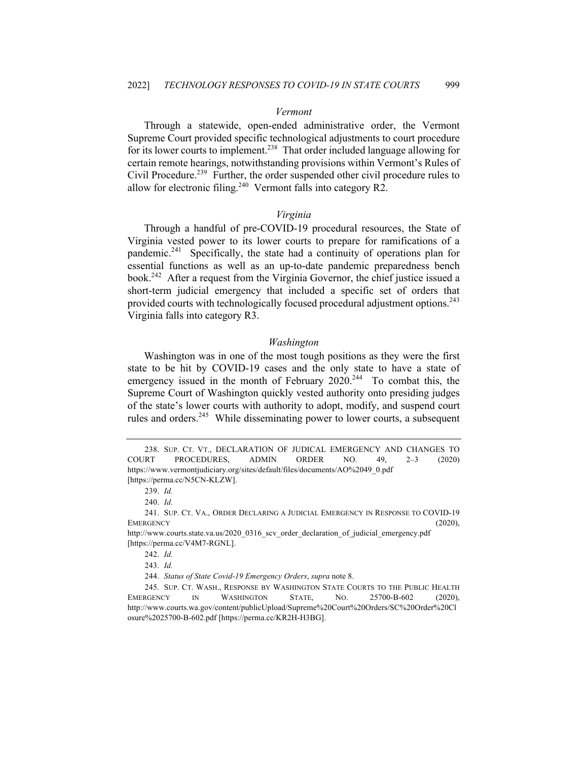# *Vermont*

Through a statewide, open-ended administrative order, the Vermont Supreme Court provided specific technological adjustments to court procedure for its lower courts to implement.<sup>238</sup> That order included language allowing for certain remote hearings, notwithstanding provisions within Vermont's Rules of Civil Procedure.<sup>239</sup> Further, the order suspended other civil procedure rules to allow for electronic filing.<sup>240</sup> Vermont falls into category R2.

#### *Virginia*

Through a handful of pre-COVID-19 procedural resources, the State of Virginia vested power to its lower courts to prepare for ramifications of a pandemic.<sup>241</sup> Specifically, the state had a continuity of operations plan for essential functions as well as an up-to-date pandemic preparedness bench book.242 After a request from the Virginia Governor, the chief justice issued a short-term judicial emergency that included a specific set of orders that provided courts with technologically focused procedural adjustment options.<sup>243</sup> Virginia falls into category R3.

#### *Washington*

Washington was in one of the most tough positions as they were the first state to be hit by COVID-19 cases and the only state to have a state of emergency issued in the month of February  $2020^{244}$  To combat this, the Supreme Court of Washington quickly vested authority onto presiding judges of the state's lower courts with authority to adopt, modify, and suspend court rules and orders.<sup>245</sup> While disseminating power to lower courts, a subsequent

<sup>238.</sup> SUP. CT. VT., DECLARATION OF JUDICAL EMERGENCY AND CHANGES TO COURT PROCEDURES, ADMIN ORDER NO. 49, 2–3 (2020) https://www.vermontjudiciary.org/sites/default/files/documents/AO%2049\_0.pdf [https://perma.cc/N5CN-KLZW].

<sup>239.</sup> *Id.*

<sup>240.</sup> *Id.*

<sup>241.</sup> SUP. CT. VA., ORDER DECLARING A JUDICIAL EMERGENCY IN RESPONSE TO COVID-19 EMERGENCY (2020),

http://www.courts.state.va.us/2020\_0316\_scv\_order\_declaration\_of\_judicial\_emergency.pdf [https://perma.cc/V4M7-RGNL].

<sup>242.</sup> *Id.*

<sup>243.</sup> *Id.*

<sup>244.</sup> *Status of State Covid-19 Emergency Orders*, *supra* note 8.

<sup>245.</sup> SUP. CT. WASH., RESPONSE BY WASHINGTON STATE COURTS TO THE PUBLIC HEALTH EMERGENCY IN WASHINGTON STATE, NO. 25700-B-602 (2020), http://www.courts.wa.gov/content/publicUpload/Supreme%20Court%20Orders/SC%20Order%20Cl osure%2025700-B-602.pdf [https://perma.cc/KR2H-H3BG].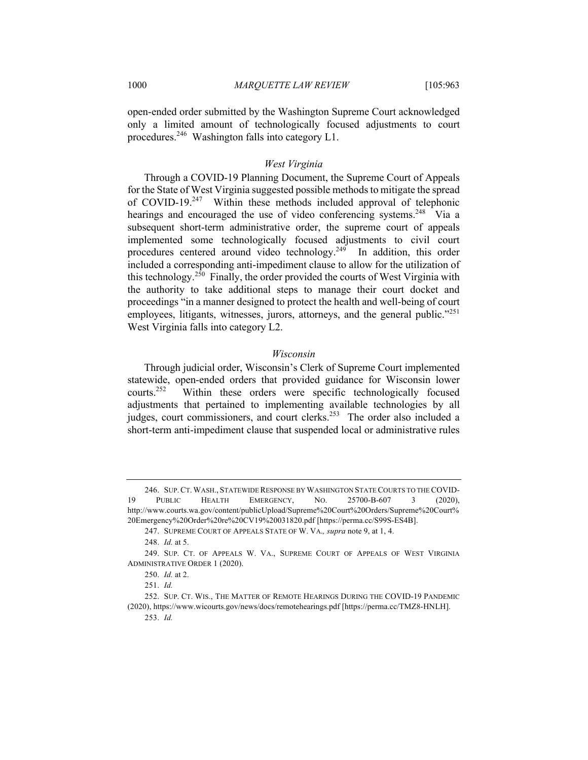open-ended order submitted by the Washington Supreme Court acknowledged only a limited amount of technologically focused adjustments to court procedures.<sup>246</sup> Washington falls into category  $L1$ .

# *West Virginia*

Through a COVID-19 Planning Document, the Supreme Court of Appeals for the State of West Virginia suggested possible methods to mitigate the spread of COVID-19.<sup>247</sup> Within these methods included approval of telephonic hearings and encouraged the use of video conferencing systems.<sup>248</sup> Via a subsequent short-term administrative order, the supreme court of appeals implemented some technologically focused adjustments to civil court procedures centered around video technology.<sup>249</sup> In addition, this order included a corresponding anti-impediment clause to allow for the utilization of this technology.<sup>250</sup> Finally, the order provided the courts of West Virginia with the authority to take additional steps to manage their court docket and proceedings "in a manner designed to protect the health and well-being of court employees, litigants, witnesses, jurors, attorneys, and the general public."<sup>251</sup> West Virginia falls into category L2.

# *Wisconsin*

Through judicial order, Wisconsin's Clerk of Supreme Court implemented statewide, open-ended orders that provided guidance for Wisconsin lower courts.252 Within these orders were specific technologically focused adjustments that pertained to implementing available technologies by all judges, court commissioners, and court clerks.<sup>253</sup> The order also included a short-term anti-impediment clause that suspended local or administrative rules

<sup>246.</sup> SUP.CT. WASH., STATEWIDE RESPONSE BY WASHINGTON STATE COURTS TO THE COVID-19 PUBLIC HEALTH EMERGENCY, NO. 25700-B-607 3 (2020), http://www.courts.wa.gov/content/publicUpload/Supreme%20Court%20Orders/Supreme%20Court% 20Emergency%20Order%20re%20CV19%20031820.pdf [https://perma.cc/S99S-ES4B].

<sup>247.</sup> SUPREME COURT OF APPEALS STATE OF W. VA.*, supra* note 9, at 1, 4.

<sup>248.</sup> *Id.* at 5.

<sup>249.</sup> SUP. CT. OF APPEALS W. VA., SUPREME COURT OF APPEALS OF WEST VIRGINIA ADMINISTRATIVE ORDER 1 (2020).

<sup>250.</sup> *Id.* at 2.

<sup>251.</sup> *Id.*

<sup>252.</sup> SUP. CT. WIS., THE MATTER OF REMOTE HEARINGS DURING THE COVID-19 PANDEMIC (2020), https://www.wicourts.gov/news/docs/remotehearings.pdf [https://perma.cc/TMZ8-HNLH]. 253. *Id.*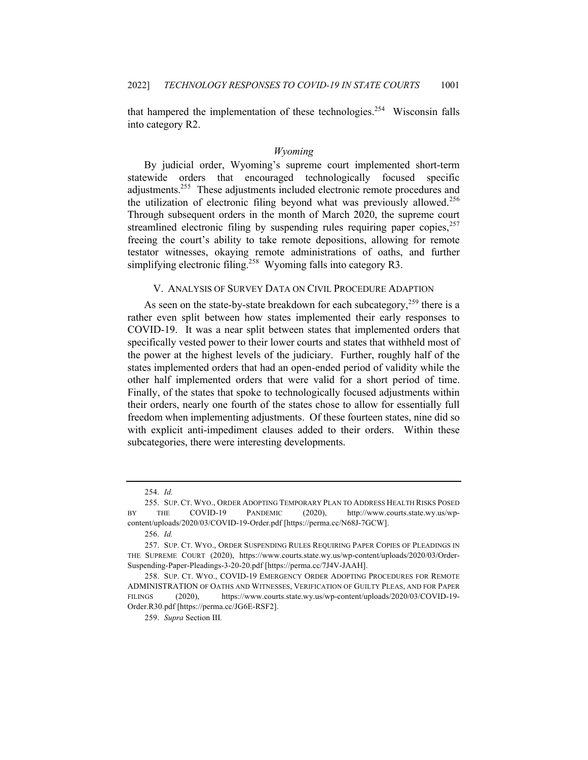that hampered the implementation of these technologies.<sup>254</sup> Wisconsin falls into category R2.

#### *Wyoming*

By judicial order, Wyoming's supreme court implemented short-term statewide orders that encouraged technologically focused specific adjustments.<sup>255</sup> These adjustments included electronic remote procedures and the utilization of electronic filing beyond what was previously allowed.<sup>256</sup> Through subsequent orders in the month of March 2020, the supreme court streamlined electronic filing by suspending rules requiring paper copies,  $257$ freeing the court's ability to take remote depositions, allowing for remote testator witnesses, okaying remote administrations of oaths, and further simplifying electronic filing.<sup>258</sup> Wyoming falls into category R3.

## V. ANALYSIS OF SURVEY DATA ON CIVIL PROCEDURE ADAPTION

As seen on the state-by-state breakdown for each subcategory,  $259$  there is a rather even split between how states implemented their early responses to COVID-19. It was a near split between states that implemented orders that specifically vested power to their lower courts and states that withheld most of the power at the highest levels of the judiciary. Further, roughly half of the states implemented orders that had an open-ended period of validity while the other half implemented orders that were valid for a short period of time. Finally, of the states that spoke to technologically focused adjustments within their orders, nearly one fourth of the states chose to allow for essentially full freedom when implementing adjustments. Of these fourteen states, nine did so with explicit anti-impediment clauses added to their orders. Within these subcategories, there were interesting developments.

<sup>254.</sup> *Id.*

<sup>255.</sup> SUP. CT. WYO., ORDER ADOPTING TEMPORARY PLAN TO ADDRESS HEALTH RISKS POSED BY THE COVID-19 PANDEMIC (2020), http://www.courts.state.wy.us/wpcontent/uploads/2020/03/COVID-19-Order.pdf [https://perma.cc/N68J-7GCW].

<sup>256.</sup> *Id.*

<sup>257.</sup> SUP. CT. WYO., ORDER SUSPENDING RULES REQUIRING PAPER COPIES OF PLEADINGS IN THE SUPREME COURT (2020), https://www.courts.state.wy.us/wp-content/uploads/2020/03/Order-Suspending-Paper-Pleadings-3-20-20.pdf [https://perma.cc/7J4V-JAAH].

<sup>258.</sup> SUP. CT. WYO., COVID-19 EMERGENCY ORDER ADOPTING PROCEDURES FOR REMOTE ADMINISTRATION OF OATHS AND WITNESSES, VERIFICATION OF GUILTY PLEAS, AND FOR PAPER FILINGS (2020), https://www.courts.state.wy.us/wp-content/uploads/2020/03/COVID-19- Order.R30.pdf [https://perma.cc/JG6E-RSF2].

<sup>259.</sup> *Supra* Section III*.*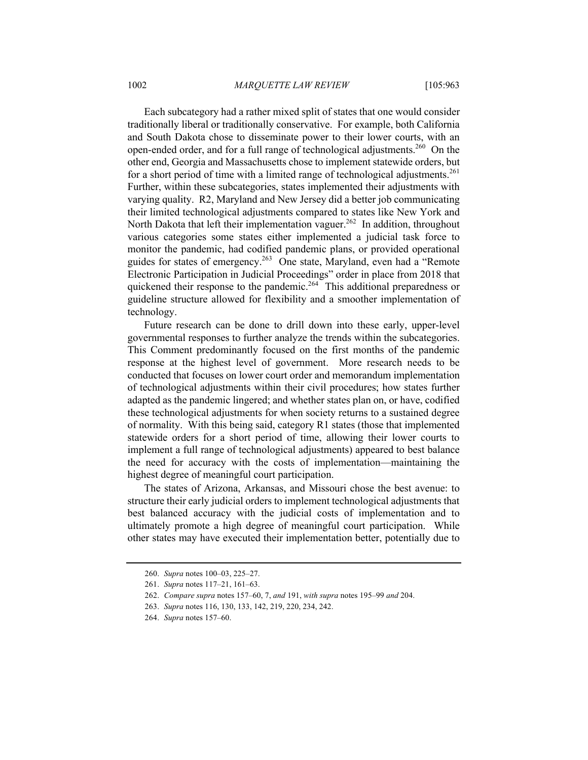Each subcategory had a rather mixed split of states that one would consider traditionally liberal or traditionally conservative. For example, both California and South Dakota chose to disseminate power to their lower courts, with an open-ended order, and for a full range of technological adjustments.<sup>260</sup> On the other end, Georgia and Massachusetts chose to implement statewide orders, but for a short period of time with a limited range of technological adjustments.<sup>261</sup> Further, within these subcategories, states implemented their adjustments with varying quality. R2, Maryland and New Jersey did a better job communicating their limited technological adjustments compared to states like New York and North Dakota that left their implementation vaguer.<sup>262</sup> In addition, throughout various categories some states either implemented a judicial task force to monitor the pandemic, had codified pandemic plans, or provided operational guides for states of emergency.<sup>263</sup> One state, Maryland, even had a "Remote Electronic Participation in Judicial Proceedings" order in place from 2018 that quickened their response to the pandemic.<sup>264</sup> This additional preparedness or guideline structure allowed for flexibility and a smoother implementation of technology.

Future research can be done to drill down into these early, upper-level governmental responses to further analyze the trends within the subcategories. This Comment predominantly focused on the first months of the pandemic response at the highest level of government. More research needs to be conducted that focuses on lower court order and memorandum implementation of technological adjustments within their civil procedures; how states further adapted as the pandemic lingered; and whether states plan on, or have, codified these technological adjustments for when society returns to a sustained degree of normality. With this being said, category R1 states (those that implemented statewide orders for a short period of time, allowing their lower courts to implement a full range of technological adjustments) appeared to best balance the need for accuracy with the costs of implementation—maintaining the highest degree of meaningful court participation.

The states of Arizona, Arkansas, and Missouri chose the best avenue: to structure their early judicial orders to implement technological adjustments that best balanced accuracy with the judicial costs of implementation and to ultimately promote a high degree of meaningful court participation. While other states may have executed their implementation better, potentially due to

<sup>260.</sup> *Supra* notes 100–03, 225–27.

<sup>261.</sup> *Supra* notes 117–21, 161–63.

<sup>262.</sup> *Compare supra* notes 157–60, 7, *and* 191, *with supra* notes 195–99 *and* 204.

<sup>263.</sup> *Supra* notes 116, 130, 133, 142, 219, 220, 234, 242.

<sup>264.</sup> *Supra* notes 157–60.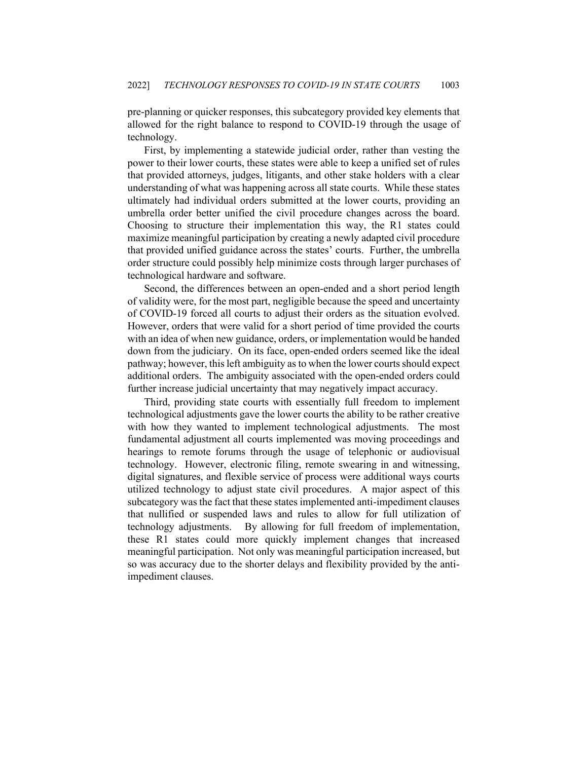pre-planning or quicker responses, this subcategory provided key elements that allowed for the right balance to respond to COVID-19 through the usage of technology.

First, by implementing a statewide judicial order, rather than vesting the power to their lower courts, these states were able to keep a unified set of rules that provided attorneys, judges, litigants, and other stake holders with a clear understanding of what was happening across all state courts. While these states ultimately had individual orders submitted at the lower courts, providing an umbrella order better unified the civil procedure changes across the board. Choosing to structure their implementation this way, the R1 states could maximize meaningful participation by creating a newly adapted civil procedure that provided unified guidance across the states' courts. Further, the umbrella order structure could possibly help minimize costs through larger purchases of technological hardware and software.

Second, the differences between an open-ended and a short period length of validity were, for the most part, negligible because the speed and uncertainty of COVID-19 forced all courts to adjust their orders as the situation evolved. However, orders that were valid for a short period of time provided the courts with an idea of when new guidance, orders, or implementation would be handed down from the judiciary. On its face, open-ended orders seemed like the ideal pathway; however, this left ambiguity as to when the lower courts should expect additional orders. The ambiguity associated with the open-ended orders could further increase judicial uncertainty that may negatively impact accuracy.

Third, providing state courts with essentially full freedom to implement technological adjustments gave the lower courts the ability to be rather creative with how they wanted to implement technological adjustments. The most fundamental adjustment all courts implemented was moving proceedings and hearings to remote forums through the usage of telephonic or audiovisual technology. However, electronic filing, remote swearing in and witnessing, digital signatures, and flexible service of process were additional ways courts utilized technology to adjust state civil procedures. A major aspect of this subcategory was the fact that these states implemented anti-impediment clauses that nullified or suspended laws and rules to allow for full utilization of technology adjustments. By allowing for full freedom of implementation, these R1 states could more quickly implement changes that increased meaningful participation. Not only was meaningful participation increased, but so was accuracy due to the shorter delays and flexibility provided by the antiimpediment clauses.